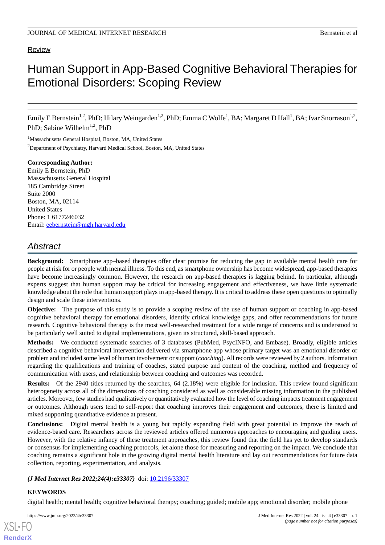# Review

# Human Support in App-Based Cognitive Behavioral Therapies for Emotional Disorders: Scoping Review

Emily E Bernstein<sup>1,2</sup>, PhD; Hilary Weingarden<sup>1,2</sup>, PhD; Emma C Wolfe<sup>1</sup>, BA; Margaret D Hall<sup>1</sup>, BA; Ivar Snorrason<sup>1,2</sup>, PhD; Sabine Wilhelm<sup>1,2</sup>, PhD

<sup>1</sup>Massachusetts General Hospital, Boston, MA, United States

<sup>2</sup>Department of Psychiatry, Harvard Medical School, Boston, MA, United States

# **Corresponding Author:** Emily E Bernstein, PhD Massachusetts General Hospital 185 Cambridge Street Suite 2000 Boston, MA, 02114 United States Phone: 1 6177246032

Email: [eebernstein@mgh.harvard.edu](mailto:eebernstein@mgh.harvard.edu)

# *Abstract*

**Background:** Smartphone app–based therapies offer clear promise for reducing the gap in available mental health care for people at risk for or people with mental illness. To this end, as smartphone ownership has become widespread, app-based therapies have become increasingly common. However, the research on app-based therapies is lagging behind. In particular, although experts suggest that human support may be critical for increasing engagement and effectiveness, we have little systematic knowledge about the role that human support plays in app-based therapy. It is critical to address these open questions to optimally design and scale these interventions.

**Objective:** The purpose of this study is to provide a scoping review of the use of human support or coaching in app-based cognitive behavioral therapy for emotional disorders, identify critical knowledge gaps, and offer recommendations for future research. Cognitive behavioral therapy is the most well-researched treatment for a wide range of concerns and is understood to be particularly well suited to digital implementations, given its structured, skill-based approach.

**Methods:** We conducted systematic searches of 3 databases (PubMed, PsycINFO, and Embase). Broadly, eligible articles described a cognitive behavioral intervention delivered via smartphone app whose primary target was an emotional disorder or problem and included some level of human involvement or support (*coaching*). All records were reviewed by 2 authors. Information regarding the qualifications and training of coaches, stated purpose and content of the coaching, method and frequency of communication with users, and relationship between coaching and outcomes was recorded.

**Results:** Of the 2940 titles returned by the searches, 64 (2.18%) were eligible for inclusion. This review found significant heterogeneity across all of the dimensions of coaching considered as well as considerable missing information in the published articles. Moreover, few studies had qualitatively or quantitatively evaluated how the level of coaching impacts treatment engagement or outcomes. Although users tend to self-report that coaching improves their engagement and outcomes, there is limited and mixed supporting quantitative evidence at present.

**Conclusions:** Digital mental health is a young but rapidly expanding field with great potential to improve the reach of evidence-based care. Researchers across the reviewed articles offered numerous approaches to encouraging and guiding users. However, with the relative infancy of these treatment approaches, this review found that the field has yet to develop standards or consensus for implementing coaching protocols, let alone those for measuring and reporting on the impact. We conclude that coaching remains a significant hole in the growing digital mental health literature and lay out recommendations for future data collection, reporting, experimentation, and analysis.

*(J Med Internet Res 2022;24(4):e33307)* doi: [10.2196/33307](http://dx.doi.org/10.2196/33307)

## **KEYWORDS**

[XSL](http://www.w3.org/Style/XSL)•FO **[RenderX](http://www.renderx.com/)**

digital health; mental health; cognitive behavioral therapy; coaching; guided; mobile app; emotional disorder; mobile phone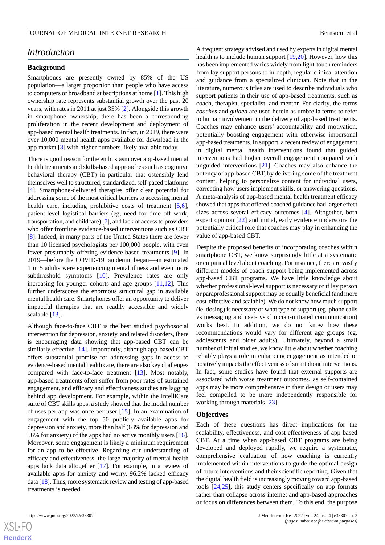# *Introduction*

#### **Background**

Smartphones are presently owned by 85% of the US population—a larger proportion than people who have access to computers or broadband subscriptions at home [\[1](#page-15-0)]. This high ownership rate represents substantial growth over the past 20 years, with rates in 2011 at just 35% [[2\]](#page-15-1). Alongside this growth in smartphone ownership, there has been a corresponding proliferation in the recent development and deployment of app-based mental health treatments. In fact, in 2019, there were over 10,000 mental health apps available for download in the app market [[3\]](#page-15-2) with higher numbers likely available today.

There is good reason for the enthusiasm over app-based mental health treatments and skills-based approaches such as cognitive behavioral therapy (CBT) in particular that ostensibly lend themselves well to structured, standardized, self-paced platforms [[4\]](#page-15-3). Smartphone-delivered therapies offer clear potential for addressing some of the most critical barriers to accessing mental health care, including prohibitive costs of treatment [\[5](#page-15-4),[6\]](#page-15-5), patient-level logistical barriers (eg, need for time off work, transportation, and childcare) [\[7](#page-15-6)], and lack of access to providers who offer frontline evidence-based interventions such as CBT [[8\]](#page-15-7). Indeed, in many parts of the United States there are fewer than 10 licensed psychologists per 100,000 people, with even fewer presumably offering evidence-based treatments [[9\]](#page-16-0). In 2019—before the COVID-19 pandemic began—an estimated 1 in 5 adults were experiencing mental illness and even more subthreshold symptoms [\[10](#page-16-1)]. Prevalence rates are only increasing for younger cohorts and age groups [[11](#page-16-2)[,12](#page-16-3)]. This further underscores the enormous structural gap in available mental health care. Smartphones offer an opportunity to deliver impactful therapies that are readily accessible and widely scalable [[13\]](#page-16-4).

Although face-to-face CBT is the best studied psychosocial intervention for depression, anxiety, and related disorders, there is encouraging data showing that app-based CBT can be similarly effective [\[14](#page-16-5)]. Importantly, although app-based CBT offers substantial promise for addressing gaps in access to evidence-based mental health care, there are also key challenges compared with face-to-face treatment [[13\]](#page-16-4). Most notably, app-based treatments often suffer from poor rates of sustained engagement, and efficacy and effectiveness studies are lagging behind app development. For example, within the IntelliCare suite of CBT skills apps, a study showed that the modal number of uses per app was once per user [[15\]](#page-16-6). In an examination of engagement with the top 50 publicly available apps for depression and anxiety, more than half (63% for depression and 56% for anxiety) of the apps had no active monthly users [[16\]](#page-16-7). Moreover, some engagement is likely a minimum requirement for an app to be effective. Regarding our understanding of efficacy and effectiveness, the large majority of mental health apps lack data altogether [[17\]](#page-16-8). For example, in a review of available apps for anxiety and worry, 96.2% lacked efficacy data [[18\]](#page-16-9). Thus, more systematic review and testing of app-based treatments is needed.

 $XS$  $\cdot$ FC **[RenderX](http://www.renderx.com/)** A frequent strategy advised and used by experts in digital mental health is to include human support [\[19](#page-16-10),[20\]](#page-16-11). However, how this has been implemented varies widely from light-touch reminders from lay support persons to in-depth, regular clinical attention and guidance from a specialized clinician. Note that in the literature, numerous titles are used to describe individuals who support patients in their use of app-based treatments, such as coach, therapist, specialist, and mentor. For clarity, the terms *coaches* and *guided* are used herein as umbrella terms to refer to human involvement in the delivery of app-based treatments. Coaches may enhance users' accountability and motivation, potentially boosting engagement with otherwise impersonal app-based treatments. In support, a recent review of engagement in digital mental health interventions found that guided interventions had higher overall engagement compared with unguided interventions [\[21](#page-16-12)]. Coaches may also enhance the potency of app-based CBT, by delivering some of the treatment content, helping to personalize content for individual users, correcting how users implement skills, or answering questions. A meta-analysis of app-based mental health treatment efficacy showed that apps that offered coached guidance had larger effect sizes across several efficacy outcomes [[4\]](#page-15-3). Altogether, both expert opinion [[22\]](#page-16-13) and initial, early evidence underscore the potentially critical role that coaches may play in enhancing the value of app-based CBT.

Despite the proposed benefits of incorporating coaches within smartphone CBT, we know surprisingly little at a systematic or empirical level about coaching. For instance, there are vastly different models of coach support being implemented across app-based CBT programs. We have little knowledge about whether professional-level support is necessary or if lay person or paraprofessional support may be equally beneficial (and more cost-effective and scalable). We do not know how much support (ie, dosing) is necessary or what type of support (eg, phone calls vs messaging and user- vs clinician-initiated communication) works best. In addition, we do not know how these recommendations would vary for different age groups (eg, adolescents and older adults). Ultimately, beyond a small number of initial studies, we know little about whether coaching reliably plays a role in enhancing engagement as intended or positively impacts the effectiveness of smartphone interventions. In fact, some studies have found that external supports are associated with worse treatment outcomes, as self-contained apps may be more comprehensive in their design or users may feel compelled to be more independently responsible for working through materials [[23\]](#page-16-14).

#### **Objectives**

Each of these questions has direct implications for the scalability, effectiveness, and cost-effectiveness of app-based CBT. At a time when app-based CBT programs are being developed and deployed rapidly, we require a systematic, comprehensive evaluation of how coaching is currently implemented within interventions to guide the optimal design of future interventions and their scientific reporting. Given that the digital health field is increasingly moving toward app-based tools [\[24](#page-16-15)[,25](#page-16-16)], this study centers specifically on app formats rather than collapse across internet and app-based approaches or focus on differences between them. To this end, the purpose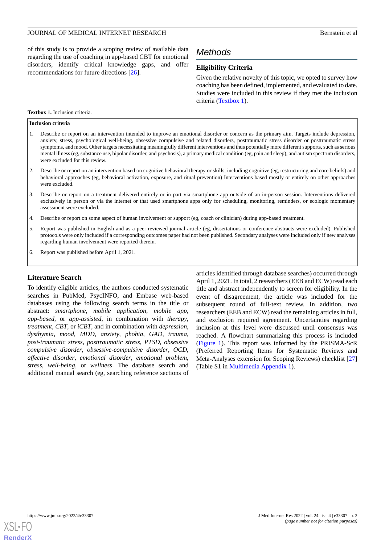of this study is to provide a scoping review of available data regarding the use of coaching in app-based CBT for emotional disorders, identify critical knowledge gaps, and offer recommendations for future directions [[26\]](#page-16-17).

# *Methods*

# **Eligibility Criteria**

Given the relative novelty of this topic, we opted to survey how coaching has been defined, implemented, and evaluated to date. Studies were included in this review if they met the inclusion criteria ([Textbox 1\)](#page-2-0).

#### <span id="page-2-0"></span>**Textbox 1.** Inclusion criteria.

#### **Inclusion criteria**

- 1. Describe or report on an intervention intended to improve an emotional disorder or concern as the primary aim. Targets include depression, anxiety, stress, psychological well-being, obsessive compulsive and related disorders, posttraumatic stress disorder or posttraumatic stress symptoms, and mood. Other targets necessitating meaningfully different interventions and thus potentially more different supports, such as serious mental illness (eg, substance use, bipolar disorder, and psychosis), a primary medical condition (eg, pain and sleep), and autism spectrum disorders, were excluded for this review.
- 2. Describe or report on an intervention based on cognitive behavioral therapy or skills, including cognitive (eg, restructuring and core beliefs) and behavioral approaches (eg, behavioral activation, exposure, and ritual prevention) Interventions based mostly or entirely on other approaches were excluded.
- 3. Describe or report on a treatment delivered entirely or in part via smartphone app outside of an in-person session. Interventions delivered exclusively in person or via the internet or that used smartphone apps only for scheduling, monitoring, reminders, or ecologic momentary assessment were excluded.
- 4. Describe or report on some aspect of human involvement or support (eg, coach or clinician) during app-based treatment.
- 5. Report was published in English and as a peer-reviewed journal article (eg, dissertations or conference abstracts were excluded). Published protocols were only included if a corresponding outcomes paper had not been published. Secondary analyses were included only if new analyses regarding human involvement were reported therein.
- 6. Report was published before April 1, 2021.

## **Literature Search**

To identify eligible articles, the authors conducted systematic searches in PubMed, PsycINFO, and Embase web-based databases using the following search terms in the title or abstract: *smartphone*, *mobile application*, *mobile app*, *app-based*, or *app-assisted*, in combination with *therapy*, *treatment*, *CBT*, or *iCBT*, and in combination with *depression*, *dysthymia*, *mood*, *MDD*, *anxiety*, *phobia*, *GAD*, *trauma*, *post-traumatic stress*, *posttraumatic stress*, *PTSD*, *obsessive compulsive disorder*, *obsessive-compulsive disorder*, *OCD*, *affective disorder*, *emotional disorder*, *emotional problem*, *stress*, *well-being*, or *wellness*. The database search and additional manual search (eg, searching reference sections of articles identified through database searches) occurred through April 1, 2021. In total, 2 researchers (EEB and ECW) read each title and abstract independently to screen for eligibility. In the event of disagreement, the article was included for the subsequent round of full-text review. In addition, two researchers (EEB and ECW) read the remaining articles in full, and exclusion required agreement. Uncertainties regarding inclusion at this level were discussed until consensus was reached. A flowchart summarizing this process is included ([Figure 1](#page-3-0)). This report was informed by the PRISMA-ScR (Preferred Reporting Items for Systematic Reviews and Meta-Analyses extension for Scoping Reviews) checklist [\[27](#page-16-18)] (Table S1 in [Multimedia Appendix 1\)](#page-15-8).

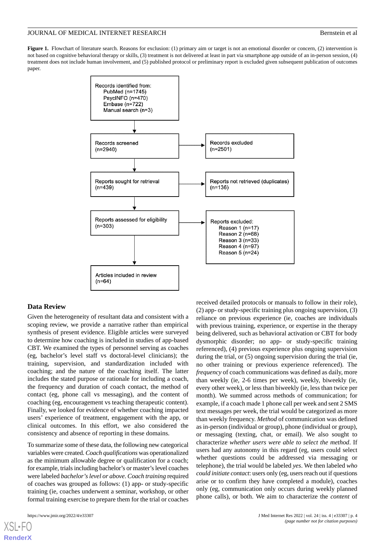<span id="page-3-0"></span>**Figure 1.** Flowchart of literature search. Reasons for exclusion: (1) primary aim or target is not an emotional disorder or concern, (2) intervention is not based on cognitive behavioral therapy or skills, (3) treatment is not delivered at least in part via smartphone app outside of an in-person session, (4) treatment does not include human involvement, and (5) published protocol or preliminary report is excluded given subsequent publication of outcomes paper.



#### **Data Review**

Given the heterogeneity of resultant data and consistent with a scoping review, we provide a narrative rather than empirical synthesis of present evidence. Eligible articles were surveyed to determine how coaching is included in studies of app-based CBT. We examined the types of personnel serving as coaches (eg, bachelor's level staff vs doctoral-level clinicians); the training, supervision, and standardization included with coaching; and the nature of the coaching itself. The latter includes the stated purpose or rationale for including a coach, the frequency and duration of coach contact, the method of contact (eg, phone call vs messaging), and the content of coaching (eg, encouragement vs teaching therapeutic content). Finally, we looked for evidence of whether coaching impacted users' experience of treatment, engagement with the app, or clinical outcomes. In this effort, we also considered the consistency and absence of reporting in these domains.

To summarize some of these data, the following new categorical variables were created. *Coach qualifications* was operationalized as the minimum allowable degree or qualification for a coach; for example, trials including bachelor's or master's level coaches were labeled *bachelor's level or above*. *Coach training* required of coaches was grouped as follows: (1) app- or study-specific training (ie, coaches underwent a seminar, workshop, or other formal training exercise to prepare them for the trial or coaches

[XSL](http://www.w3.org/Style/XSL)•FO **[RenderX](http://www.renderx.com/)**

received detailed protocols or manuals to follow in their role), (2) app- or study-specific training plus ongoing supervision, (3) reliance on previous experience (ie, coaches are individuals with previous training, experience, or expertise in the therapy being delivered, such as behavioral activation or CBT for body dysmorphic disorder; no app- or study-specific training referenced), (4) previous experience plus ongoing supervision during the trial, or (5) ongoing supervision during the trial (ie, no other training or previous experience referenced). The *frequency* of coach communications was defined as daily, more than weekly (ie, 2-6 times per week), weekly, biweekly (ie, every other week), or less than biweekly (ie, less than twice per month). We summed across methods of communication; for example, if a coach made 1 phone call per week and sent 2 SMS text messages per week, the trial would be categorized as more than weekly frequency. *Method* of communication was defined as in-person (individual or group), phone (individual or group), or messaging (texting, chat, or email). We also sought to characterize *whether users were able to select the method*. If users had any autonomy in this regard (eg, users could select whether questions could be addressed via messaging or telephone), the trial would be labeled *yes*. We then labeled *who could initiate contact*: users only (eg, users reach out if questions arise or to confirm they have completed a module), coaches only (eg, communication only occurs during weekly planned phone calls), or both. We aim to characterize the *content* of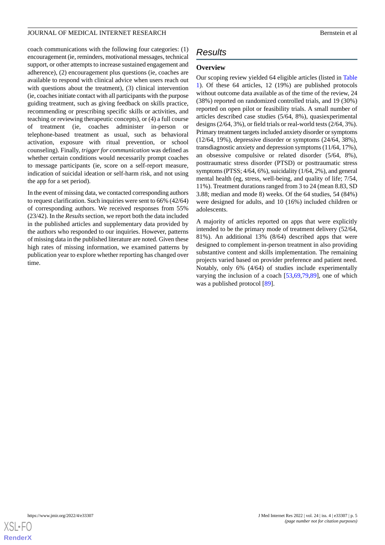coach communications with the following four categories: (1) encouragement (ie, reminders, motivational messages, technical support, or other attempts to increase sustained engagement and adherence), (2) encouragement plus questions (ie, coaches are available to respond with clinical advice when users reach out with questions about the treatment), (3) clinical intervention (ie, coaches initiate contact with all participants with the purpose guiding treatment, such as giving feedback on skills practice, recommending or prescribing specific skills or activities, and teaching or reviewing therapeutic concepts), or (4) a full course of treatment (ie, coaches administer in-person or telephone-based treatment as usual, such as behavioral activation, exposure with ritual prevention, or school counseling). Finally, *trigger for communication* was defined as whether certain conditions would necessarily prompt coaches to message participants (ie, score on a self-report measure, indication of suicidal ideation or self-harm risk, and not using the app for a set period).

In the event of missing data, we contacted corresponding authors to request clarification. Such inquiries were sent to 66% (42/64) of corresponding authors. We received responses from 55% (23/42). In the *Results* section, we report both the data included in the published articles and supplementary data provided by the authors who responded to our inquiries. However, patterns of missing data in the published literature are noted. Given these high rates of missing information, we examined patterns by publication year to explore whether reporting has changed over time.

# *Results*

# **Overview**

Our scoping review yielded 64 eligible articles (listed in [Table](#page-5-0) [1\)](#page-5-0). Of these 64 articles, 12 (19%) are published protocols without outcome data available as of the time of the review, 24 (38%) reported on randomized controlled trials, and 19 (30%) reported on open pilot or feasibility trials. A small number of articles described case studies (5/64, 8%), quasiexperimental designs (2/64, 3%), or field trials or real-world tests (2/64, 3%). Primary treatment targets included anxiety disorder or symptoms (12/64, 19%), depressive disorder or symptoms (24/64, 38%), transdiagnostic anxiety and depression symptoms (11/64, 17%), an obsessive compulsive or related disorder (5/64, 8%), posttraumatic stress disorder (PTSD) or posttraumatic stress symptoms (PTSS; 4/64, 6%), suicidality (1/64, 2%), and general mental health (eg, stress, well-being, and quality of life; 7/54, 11%). Treatment durations ranged from 3 to 24 (mean 8.83, SD 3.88; median and mode 8) weeks. Of the 64 studies, 54 (84%) were designed for adults, and 10 (16%) included children or adolescents.

A majority of articles reported on apps that were explicitly intended to be the primary mode of treatment delivery (52/64, 81%). An additional 13% (8/64) described apps that were designed to complement in-person treatment in also providing substantive content and skills implementation. The remaining projects varied based on provider preference and patient need. Notably, only 6% (4/64) of studies include experimentally varying the inclusion of a coach [\[53](#page-18-0),[69,](#page-19-0)[79](#page-19-1),[89\]](#page-20-0), one of which was a published protocol [\[89](#page-20-0)].

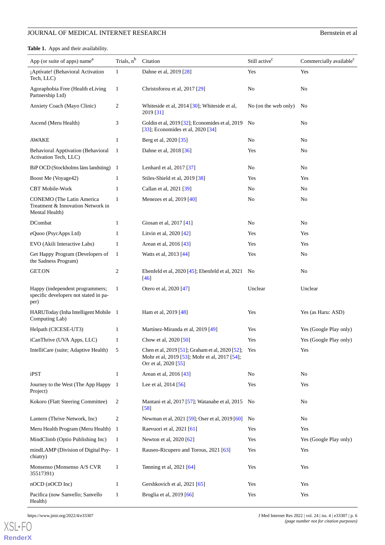<span id="page-5-0"></span>**Table 1.** Apps and their availability.

| App (or suite of apps) name <sup>a</sup>                                         | Trials, n <sup>b</sup> | Citation                                                                                                                     | Still active <sup>c</sup> | Commercially available <sup>c</sup> |
|----------------------------------------------------------------------------------|------------------------|------------------------------------------------------------------------------------------------------------------------------|---------------------------|-------------------------------------|
| ¡Aptívate! (Behavioral Activation<br>Tech, LLC)                                  | 1                      | Dahne et al, 2019 [28]                                                                                                       | Yes                       | Yes                                 |
| Agoraphobia Free (Health eLiving<br>Partnership Ltd)                             | $\mathbf{1}$           | Christoforou et al, 2017 [29]                                                                                                | No                        | No                                  |
| Anxiety Coach (Mayo Clinic)                                                      | 2                      | Whiteside et al, 2014 [30]; Whiteside et al,<br>2019 [31]                                                                    | No (on the web only)      | No                                  |
| Ascend (Meru Health)                                                             | 3                      | Goldin et al, 2019 [32]; Economides et al, 2019 No<br>[33]; Economides et al, 2020 [34]                                      |                           | No                                  |
| <b>AWAKE</b>                                                                     | $\mathbf{1}$           | Berg et al, 2020 [35]                                                                                                        | No                        | No                                  |
| <b>Behavioral Apptivation (Behavioral</b><br>Activation Tech, LLC)               | 1                      | Dahne et al, 2018 [36]                                                                                                       | Yes                       | No                                  |
| BiP OCD (Stockholms läns landsting) 1                                            |                        | Lenhard et al, 2017 [37]                                                                                                     | No                        | No                                  |
| Boost Me (Voyage42)                                                              | 1                      | Stiles-Shield et al, 2019 [38]                                                                                               | Yes                       | Yes                                 |
| <b>CBT</b> Mobile-Work                                                           | $\mathbf{1}$           | Callan et al, 2021 [39]                                                                                                      | No                        | No                                  |
| CONEMO (The Latin America<br>Treatment & Innovation Network in<br>Mental Health) | $\mathbf{1}$           | Menezes et al, 2019 [40]                                                                                                     | No                        | No                                  |
| DCombat                                                                          | $\mathbf{1}$           | Giosan et al, 2017 [41]                                                                                                      | No                        | No                                  |
| eQuoo (PsycApps Ltd)                                                             | 1                      | Litvin et al, 2020 [42]                                                                                                      | Yes                       | Yes                                 |
| EVO (Akili Interactive Labs)                                                     | 1                      | Arean et al, 2016 [43]                                                                                                       | Yes                       | Yes                                 |
| Get Happy Program (Developers of<br>the Sadness Program)                         | 1                      | Watts et al, 2013 [44]                                                                                                       | Yes                       | No                                  |
| <b>GET.ON</b>                                                                    | $\overline{c}$         | Ebenfeld et al, $2020$ [45]; Ebenfeld et al, $2021$ No<br>[46]                                                               |                           | N <sub>o</sub>                      |
| Happy (independent programmers;<br>specific developers not stated in pa-<br>per) | $\mathbf{1}$           | Otero et al, 2020 [47]                                                                                                       | Unclear                   | Unclear                             |
| HARUToday (Inha Intelligent Mobile 1<br>Computing Lab)                           |                        | Ham et al, 2019 [48]                                                                                                         | Yes                       | Yes (as Haru: ASD)                  |
| Helpath (CICESE-UT3)                                                             | 1                      | Martínez-Miranda et al, 2019 [49]                                                                                            | Yes                       | Yes (Google Play only)              |
| iCanThrive (UVA Apps, LLC)                                                       | $\mathbf{1}$           | Chow et al, 2020 [50]                                                                                                        | Yes                       | Yes (Google Play only)              |
| IntelliCare (suite; Adaptive Health)                                             | 5                      | Chen et al, 2019 [51]; Graham et al, 2020 [52]; Yes<br>Mohr et al, 2019 [53]; Mohr et al, 2017 [54];<br>Orr et al, 2020 [55] |                           | Yes                                 |
| iPST                                                                             | $\mathbf{1}$           | Arean et al, 2016 [43]                                                                                                       | No                        | No                                  |
| Journey to the West (The App Happy<br>Project)                                   | -1                     | Lee et al, 2014 [56]                                                                                                         | Yes                       | Yes                                 |
| Kokoro (Flatt Steering Committee)                                                | 2                      | Mantani et al, 2017 [57]; Watanabe et al, 2015 No<br>$[58]$                                                                  |                           | No                                  |
| Lantern (Thrive Network, Inc)                                                    | 2                      | Newman et al, 2021 [59]; Oser et al, 2019 [60]                                                                               | N <sub>0</sub>            | No                                  |
| Meru Health Program (Meru Health)                                                | $\mathbf{1}$           | Raevuori et al, 2021 [61]                                                                                                    | Yes                       | Yes                                 |
| MindClimb (Optio Publishing Inc)                                                 | -1                     | Newton et al, 2020 [62]                                                                                                      | Yes                       | Yes (Google Play only)              |
| mindLAMP (Division of Digital Psy-1<br>chiatry)                                  |                        | Rauseo-Ricupero and Torous, 2021 [63]                                                                                        | Yes                       | Yes                                 |
| Monsenso (Monsenso A/S CVR<br>35517391)                                          | $\mathbf{1}$           | Tønning et al, 2021 [64]                                                                                                     | Yes                       | Yes                                 |
| nOCD (nOCD Inc)                                                                  | $\mathbf{1}$           | Gershkovich et al, 2021 [65]                                                                                                 | Yes                       | Yes                                 |
| Pacifica (now Sanvello; Sanvello<br>Health)                                      | $\mathbf{1}$           | Broglia et al, 2019 [66]                                                                                                     | Yes                       | Yes                                 |

[XSL](http://www.w3.org/Style/XSL)•FO **[RenderX](http://www.renderx.com/)**

https://www.jmir.org/2022/4/e33307 J Med Internet Res 2022 | vol. 24 | iss. 4 | e33307 | p. 6 *(page number not for citation purposes)*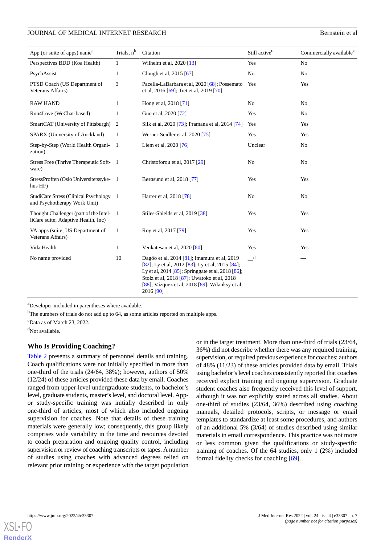| App (or suite of apps) name <sup>a</sup>                                        | Trials, n <sup>b</sup> | Citation                                                                                                                                                                                                                                                           | Still active <sup>c</sup>                             | Commercially available <sup>c</sup> |
|---------------------------------------------------------------------------------|------------------------|--------------------------------------------------------------------------------------------------------------------------------------------------------------------------------------------------------------------------------------------------------------------|-------------------------------------------------------|-------------------------------------|
| Perspectives BDD (Koa Health)                                                   | $\mathbf{1}$           | Wilhelm et al, 2020 [13]                                                                                                                                                                                                                                           | Yes                                                   | N <sub>o</sub>                      |
| PsychAssist                                                                     | $\mathbf{1}$           | Clough et al, 2015 [67]                                                                                                                                                                                                                                            | N <sub>0</sub>                                        | No                                  |
| PTSD Coach (US Department of<br>Veterans Affairs)                               | 3                      | Pacella-LaBarbara et al, 2020 [68]; Possemato<br>et al, 2016 [69]; Tiet et al, 2019 [70]                                                                                                                                                                           | Yes                                                   | Yes                                 |
| <b>RAW HAND</b>                                                                 | $\mathbf{1}$           | Hong et al, 2018 [71]                                                                                                                                                                                                                                              | N <sub>0</sub>                                        | N <sub>0</sub>                      |
| Run4Love (WeChat-based)                                                         | $\mathbf{1}$           | Guo et al, 2020 [72]                                                                                                                                                                                                                                               | Yes                                                   | No                                  |
| SmartCAT (University of Pittsburgh)                                             | 2                      | Silk et al, 2020 [73]; Pramana et al, 2014 [74]                                                                                                                                                                                                                    | Yes                                                   | Yes                                 |
| SPARX (University of Auckland)                                                  | 1                      | Werner-Seidler et al, 2020 [75]                                                                                                                                                                                                                                    | Yes                                                   | Yes                                 |
| Step-by-Step (World Health Organi-<br>zation)                                   | $\overline{1}$         | Liem et al, 2020 [76]                                                                                                                                                                                                                                              | Unclear                                               | No                                  |
| Stress Free (Thrive Therapeutic Soft-1<br>ware)                                 |                        | Christoforou et al, 2017 [29]                                                                                                                                                                                                                                      | N <sub>o</sub>                                        | No                                  |
| StressProffen (Oslo Universitetssyke-1<br>hus HF)                               |                        | Børøsund et al, 2018 [77]                                                                                                                                                                                                                                          | Yes                                                   | Yes                                 |
| StudiCare Stress (Clinical Psychology 1<br>and Psychotherapy Work Unit)         |                        | Harrer et al, 2018 [78]                                                                                                                                                                                                                                            | No                                                    | No                                  |
| Thought Challenger (part of the Intel- 1<br>liCare suite; Adaptive Health, Inc) |                        | Stiles-Shields et al, 2019 [38]                                                                                                                                                                                                                                    | Yes                                                   | Yes                                 |
| VA apps (suite; US Department of<br>Veterans Affairs)                           | 1                      | Roy et al, 2017 [79]                                                                                                                                                                                                                                               | Yes                                                   | Yes                                 |
| Vida Health                                                                     | $\mathbf{1}$           | Venkatesan et al, 2020 [80]                                                                                                                                                                                                                                        | Yes                                                   | Yes                                 |
| No name provided                                                                | 10                     | Dagöö et al, 2014 [81]; Imamura et al, 2019<br>[82]; Ly et al, 2012 [83]; Ly et al, 2015 [84];<br>Ly et al, 2014 [85]; Springgate et al, 2018 [86];<br>Stolz et al, 2018 [87]; Uwatoko et al, 2018<br>[88]; Vázquez et al, 2018 [89]; Wilanksy et al,<br>2016 [90] | $\mathord{\hspace{1pt}\text{--}\hspace{1pt}}^{\rm d}$ |                                     |

<sup>a</sup>Developer included in parentheses where available.

<sup>b</sup>The numbers of trials do not add up to 64, as some articles reported on multiple apps.

 $c$ Data as of March 23, 2022.

<sup>d</sup>Not available.

## **Who Is Providing Coaching?**

[Table 2](#page-7-0) presents a summary of personnel details and training. Coach qualifications were not initially specified in more than one-third of the trials (24/64, 38%); however, authors of 50% (12/24) of these articles provided these data by email. Coaches ranged from upper-level undergraduate students, to bachelor's level, graduate students, master's level, and doctoral level. Appor study-specific training was initially described in only one-third of articles, most of which also included ongoing supervision for coaches. Note that details of these training materials were generally low; consequently, this group likely comprises wide variability in the time and resources devoted to coach preparation and ongoing quality control, including supervision or review of coaching transcripts or tapes. A number of studies using coaches with advanced degrees relied on relevant prior training or experience with the target population

or in the target treatment. More than one-third of trials (23/64, 36%) did not describe whether there was any required training, supervision, or required previous experience for coaches; authors of 48% (11/23) of these articles provided data by email. Trials using bachelor's level coaches consistently reported that coaches received explicit training and ongoing supervision. Graduate student coaches also frequently received this level of support, although it was not explicitly stated across all studies. About one-third of studies (23/64, 36%) described using coaching manuals, detailed protocols, scripts, or message or email templates to standardize at least some procedures, and authors of an additional 5% (3/64) of studies described using similar materials in email correspondence. This practice was not more or less common given the qualifications or study-specific training of coaches. Of the 64 studies, only 1 (2%) included formal fidelity checks for coaching [[69\]](#page-19-0).

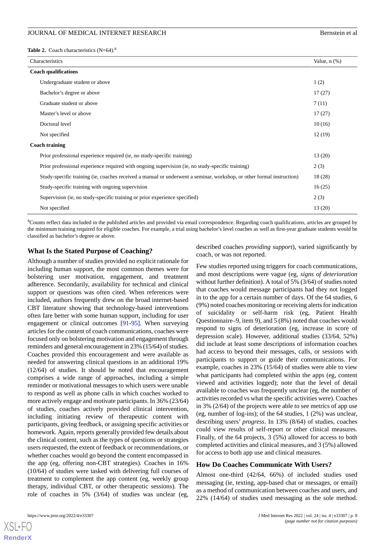<span id="page-7-0"></span>**Table 2.** Coach characteristics  $(N=64)$ .<sup>a</sup>

| Characteristics                                                                                                       | Value, $n$ $(\%)$ |
|-----------------------------------------------------------------------------------------------------------------------|-------------------|
| <b>Coach qualifications</b>                                                                                           |                   |
| Undergraduate student or above                                                                                        | 1(2)              |
| Bachelor's degree or above                                                                                            | 17(27)            |
| Graduate student or above                                                                                             | 7(11)             |
| Master's level or above                                                                                               | 17(27)            |
| Doctoral level                                                                                                        | 10(16)            |
| Not specified                                                                                                         | 12(19)            |
| <b>Coach training</b>                                                                                                 |                   |
| Prior professional experience required (ie, no study-specific training)                                               | 13(20)            |
| Prior professional experience required with ongoing supervision (ie, no study-specific training)                      | 2(3)              |
| Study-specific training (ie, coaches received a manual or underwent a seminar, workshop, or other formal instruction) | 18(28)            |
| Study-specific training with ongoing supervision                                                                      | 16(25)            |
| Supervision (ie, no study-specific training or prior experience specified)                                            | 2(3)              |
| Not specified                                                                                                         | 13(20)            |

<sup>a</sup>Counts reflect data included in the published articles and provided via email correspondence. Regarding coach qualifications, articles are grouped by the minimum training required for eligible coaches. For example, a trial using bachelor's level coaches as well as first-year graduate students would be classified as bachelor's degree or above.

# **What Is the Stated Purpose of Coaching?**

Although a number of studies provided no explicit rationale for including human support, the most common themes were for bolstering user motivation, engagement, and treatment adherence. Secondarily, availability for technical and clinical support or questions was often cited. When references were included, authors frequently drew on the broad internet-based CBT literature showing that technology-based interventions often fare better with some human support, including for user engagement or clinical outcomes [[91-](#page-20-2)[95](#page-20-3)]. When surveying articles for the content of coach communications, coaches were focused only on bolstering motivation and engagement through reminders and general encouragement in 23% (15/64) of studies. Coaches provided this encouragement and were available as needed for answering clinical questions in an additional 19% (12/64) of studies. It should be noted that encouragement comprises a wide range of approaches, including a simple reminder or motivational messages to which users were unable to respond as well as phone calls in which coaches worked to more actively engage and motivate participants. In 36% (23/64) of studies, coaches actively provided clinical intervention, including initiating review of therapeutic content with participants, giving feedback, or assigning specific activities or homework. Again, reports generally provided few details about the clinical content, such as the types of questions or strategies users requested, the extent of feedback or recommendations, or whether coaches would go beyond the content encompassed in the app (eg, offering non-CBT strategies). Coaches in 16% (10/64) of studies were tasked with delivering full courses of treatment to complement the app content (eg, weekly group therapy, individual CBT, or other therapeutic sessions). The role of coaches in 5% (3/64) of studies was unclear (eg,

described coaches *providing support*), varied significantly by coach, or was not reported.

Few studies reported using triggers for coach communications, and most descriptions were vague (eg, *signs of deterioration* without further definition). A total of 5% (3/64) of studies noted that coaches would message participants had they not logged in to the app for a certain number of days. Of the 64 studies, 6 (9%) noted coaches monitoring or receiving alerts for indication of suicidality or self-harm risk (eg, Patient Health Questionnaire–9, item 9), and 5 (8%) noted that coaches would respond to signs of deterioration (eg, increase in score of depression scale). However, additional studies (33/64, 52%) did include at least some descriptions of information coaches had access to beyond their messages, calls, or sessions with participants to support or guide their communications. For example, coaches in 23% (15/64) of studies were able to view what participants had completed within the apps (eg, content viewed and activities logged); note that the level of detail available to coaches was frequently unclear (eg, the number of activities recorded vs what the specific activities were). Coaches in 3% (2/64) of the projects were able to see metrics of app use (eg, number of log-ins); of the 64 studies, 1 (2%) was unclear, describing users' *progress*. In 13% (8/64) of studies, coaches could view results of self-report or other clinical measures. Finally, of the 64 projects, 3 (5%) allowed for access to both completed activities and clinical measures, and 3 (5%) allowed for access to both app use and clinical measures.

## **How Do Coaches Communicate With Users?**

Almost one-third (42/64, 66%) of included studies used messaging (ie, texting, app-based chat or messages, or email) as a method of communication between coaches and users, and 22% (14/64) of studies used messaging as the sole method.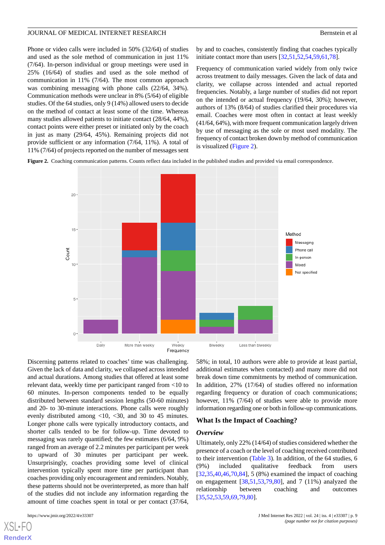Phone or video calls were included in 50% (32/64) of studies and used as the sole method of communication in just 11% (7/64). In-person individual or group meetings were used in 25% (16/64) of studies and used as the sole method of communication in 11% (7/64). The most common approach was combining messaging with phone calls (22/64, 34%). Communication methods were unclear in 8% (5/64) of eligible studies. Of the 64 studies, only 9 (14%) allowed users to decide on the method of contact at least some of the time. Whereas many studies allowed patients to initiate contact (28/64, 44%), contact points were either preset or initiated only by the coach in just as many (29/64, 45%). Remaining projects did not provide sufficient or any information (7/64, 11%). A total of 11% (7/64) of projects reported on the number of messages sent

by and to coaches, consistently finding that coaches typically initiate contact more than users [\[32](#page-17-2),[51](#page-18-2)[,52](#page-18-3),[54](#page-18-4)[,59](#page-18-9),[61](#page-18-11)[,78](#page-19-10)].

Frequency of communication varied widely from only twice across treatment to daily messages. Given the lack of data and clarity, we collapse across intended and actual reported frequencies. Notably, a large number of studies did not report on the intended or actual frequency (19/64, 30%); however, authors of 13% (8/64) of studies clarified their procedures via email. Coaches were most often in contact at least weekly (41/64, 64%), with more frequent communication largely driven by use of messaging as the sole or most used modality. The frequency of contact broken down by method of communication is visualized [\(Figure 2\)](#page-8-0).

<span id="page-8-0"></span>**Figure 2.** Coaching communication patterns. Counts reflect data included in the published studies and provided via email correspondence.



Discerning patterns related to coaches' time was challenging. Given the lack of data and clarity, we collapsed across intended and actual durations. Among studies that offered at least some relevant data, weekly time per participant ranged from <10 to 60 minutes. In-person components tended to be equally distributed between standard session lengths (50-60 minutes) and 20- to 30-minute interactions. Phone calls were roughly evenly distributed among  $\langle 10, \langle 30, \rangle$  and 30 to 45 minutes. Longer phone calls were typically introductory contacts, and shorter calls tended to be for follow-up. Time devoted to messaging was rarely quantified; the few estimates (6/64, 9%) ranged from an average of 2.2 minutes per participant per week to upward of 30 minutes per participant per week. Unsurprisingly, coaches providing some level of clinical intervention typically spent more time per participant than coaches providing only encouragement and reminders. Notably, these patterns should not be overinterpreted, as more than half of the studies did not include any information regarding the amount of time coaches spent in total or per contact (37/64,

[XSL](http://www.w3.org/Style/XSL)•FO **[RenderX](http://www.renderx.com/)**

58%; in total, 10 authors were able to provide at least partial, additional estimates when contacted) and many more did not break down time commitments by method of communication. In addition, 27% (17/64) of studies offered no information regarding frequency or duration of coach communications; however,  $11\%$  (7/64) of studies were able to provide more information regarding one or both in follow-up communications.

#### **What Is the Impact of Coaching?**

#### *Overview*

Ultimately, only 22% (14/64) of studies considered whether the presence of a coach or the level of coaching received contributed to their intervention [\(Table 3\)](#page-9-0). In addition, of the 64 studies, 6 (9%) included qualitative feedback from users [[32,](#page-17-2)[35,](#page-17-5)[40](#page-17-10)[,46](#page-17-16),[70,](#page-19-2)[84\]](#page-19-15), 5 (8%) examined the impact of coaching on engagement [[38,](#page-17-8)[51](#page-18-2),[53,](#page-18-0)[79](#page-19-1),[80\]](#page-19-11), and 7 (11%) analyzed the relationship between coaching and outcomes [[35,](#page-17-5)[52,](#page-18-3)[53](#page-18-0)[,59](#page-18-9),[69,](#page-19-0)[79,](#page-19-1)[80\]](#page-19-11).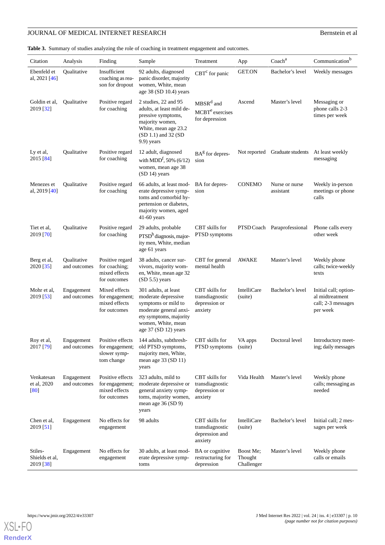<span id="page-9-0"></span>**Table 3.** Summary of studies analyzing the role of coaching in treatment engagement and outcomes.

| Citation                               | Analysis                    | Finding                                                              | Sample                                                                                                                                                               | Treatment                                                              | App                                | Coach <sup>a</sup>             | Communication <sup>b</sup>                                                 |
|----------------------------------------|-----------------------------|----------------------------------------------------------------------|----------------------------------------------------------------------------------------------------------------------------------------------------------------------|------------------------------------------------------------------------|------------------------------------|--------------------------------|----------------------------------------------------------------------------|
| Ebenfeld et<br>al, 2021 [46]           | Qualitative                 | Insufficient<br>coaching as rea-<br>son for dropout                  | 92 adults, diagnosed<br>panic disorder, majority<br>women, White, mean<br>age $38$ (SD 10.4) years                                                                   | $CBTc$ for panic                                                       | <b>GET.ON</b>                      | Bachelor's level               | Weekly messages                                                            |
| Goldin et al,<br>2019 [32]             | Qualitative                 | Positive regard<br>for coaching                                      | 2 studies, 22 and 95<br>adults, at least mild de-<br>pressive symptoms,<br>majority women,<br>White, mean age 23.2<br>$(SD 1.1)$ and 32 $(SD)$<br>$9.9$ ) years      | MBSR <sup>d</sup> and<br>MCBT <sup>e</sup> exercises<br>for depression | Ascend                             | Master's level                 | Messaging or<br>phone calls 2-3<br>times per week                          |
| Ly et al,<br>2015 [84]                 | Qualitative                 | Positive regard<br>for coaching                                      | 12 adult, diagnosed<br>with MDD <sup>f</sup> , 50% (6/12)<br>women, mean age 38<br>(SD 14) years                                                                     | $BAg$ for depres-<br>sion                                              |                                    | Not reported Graduate students | At least weekly<br>messaging                                               |
| Menezes et<br>al, 2019 [40]            | Qualitative                 | Positive regard<br>for coaching                                      | 66 adults, at least mod-<br>erate depressive symp-<br>toms and comorbid hy-<br>pertension or diabetes,<br>majority women, aged<br>$41-60$ years                      | BA for depres-<br>sion                                                 | <b>CONEMO</b>                      | Nurse or nurse<br>assistant    | Weekly in-person<br>meetings or phone<br>calls                             |
| Tiet et al,<br>2019 [70]               | Qualitative                 | Positive regard<br>for coaching                                      | 29 adults, probable<br>$PTSDh$ diagnosis, major-<br>ity men, White, median<br>age 61 years                                                                           | CBT skills for<br>PTSD symptoms                                        |                                    | PTSD Coach Paraprofessional    | Phone calls every<br>other week                                            |
| Berg et al,<br>2020 [35]               | Qualitative<br>and outcomes | Positive regard<br>for coaching;<br>mixed effects<br>for outcomes    | 38 adults, cancer sur-<br>vivors, majority wom-<br>en, White, mean age 32<br>$(SD 5.5)$ years                                                                        | CBT for general<br>mental health                                       | AWAKE                              | Master's level                 | Weekly phone<br>calls; twice-weekly<br>texts                               |
| Mohr et al,<br>2019 [53]               | Engagement<br>and outcomes  | Mixed effects<br>for engagement;<br>mixed effects<br>for outcomes    | 301 adults, at least<br>moderate depressive<br>symptoms or mild to<br>moderate general anxi-<br>ety symptoms, majority<br>women, White, mean<br>age 37 (SD 12) years | CBT skills for<br>transdiagnostic<br>depression or<br>anxiety          | IntelliCare<br>(suite)             | Bachelor's level               | Initial call; option-<br>al midtreatment<br>call; 2-3 messages<br>per week |
| Roy et al,<br>2017 [79]                | Engagement<br>and outcomes  | Positive effects<br>for engagement;<br>slower symp-<br>tom change    | 144 adults, subthresh-<br>old PTSD symptoms,<br>majority men, White,<br>mean age 33 (SD 11)<br>years                                                                 | CBT skills for<br>PTSD symptoms                                        | VA apps<br>(suite)                 | Doctoral level                 | Introductory meet-<br>ing; daily messages                                  |
| Venkatesan<br>et al, 2020<br>[80]      | Engagement<br>and outcomes  | Positive effects<br>for engagement;<br>mixed effects<br>for outcomes | 323 adults, mild to<br>moderate depressive or<br>general anxiety symp-<br>toms, majority women,<br>mean age 36 (SD 9)<br>years                                       | CBT skills for<br>transdiagnostic<br>depression or<br>anxiety          | Vida Health                        | Master's level                 | Weekly phone<br>calls; messaging as<br>needed                              |
| Chen et al,<br>2019 [51]               | Engagement                  | No effects for<br>engagement                                         | 98 adults                                                                                                                                                            | CBT skills for<br>transdiagnostic<br>depression and<br>anxiety         | <b>IntelliCare</b><br>(suite)      | Bachelor's level               | Initial call; 2 mes-<br>sages per week                                     |
| Stiles-<br>Shields et al,<br>2019 [38] | Engagement                  | No effects for<br>engagement                                         | 30 adults, at least mod-<br>erate depressive symp-<br>toms                                                                                                           | BA or cognitive<br>restructuring for<br>depression                     | Boost Me;<br>Thought<br>Challenger | Master's level                 | Weekly phone<br>calls or emails                                            |

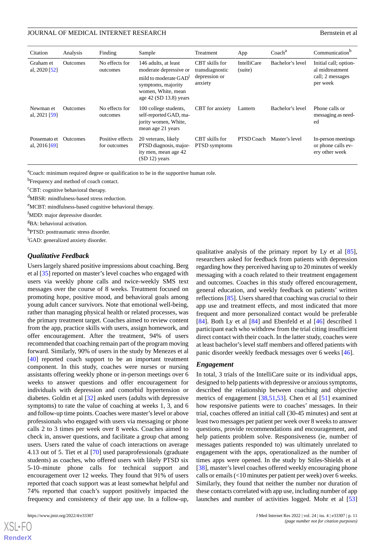| Citation                        | Analysis        | Finding                          | Sample                                                                                                                                                      | Treatment                                                     | App                           | Coach <sup>a</sup> | Communication <sup>b</sup>                                               |  |
|---------------------------------|-----------------|----------------------------------|-------------------------------------------------------------------------------------------------------------------------------------------------------------|---------------------------------------------------------------|-------------------------------|--------------------|--------------------------------------------------------------------------|--|
| Graham et<br>al, $2020$ [52]    | <b>Outcomes</b> | No effects for<br>outcomes       | 146 adults, at least<br>moderate depressive or<br>mild to moderate GAD <sup>1</sup><br>symptoms, majority<br>women, White, mean<br>age $42$ (SD 13.8) years | CBT skills for<br>transdiagnostic<br>depression or<br>anxiety | <b>IntelliCare</b><br>(suite) | Bachelor's level   | Initial call; option-<br>al midtreatment<br>call; 2 messages<br>per week |  |
| Newman et<br>al, $2021$ [59]    | <b>Outcomes</b> | No effects for<br>outcomes       | 100 college students,<br>self-reported GAD, ma-<br>jority women, White,<br>mean age 21 years                                                                | <b>CBT</b> for anxiety                                        | Lantern                       | Bachelor's level   | Phone calls or<br>messaging as need-<br>ed                               |  |
| Possemato et<br>al, $2016$ [69] | <b>Outcomes</b> | Positive effects<br>for outcomes | 20 veterans, likely<br>PTSD diagnosis, major-<br>ity men, mean age 42<br>$(SD 12)$ years                                                                    | CBT skills for<br>PTSD symptoms                               | PTSD Coach                    | Master's level     | In-person meetings<br>or phone calls ev-<br>ery other week               |  |

<sup>a</sup>Coach: minimum required degree or qualification to be in the supportive human role.

<sup>b</sup>Frequency and method of coach contact.

<sup>c</sup>CBT: cognitive behavioral therapy.

<sup>d</sup>MBSR: mindfulness-based stress reduction.

<sup>e</sup>MCBT: mindfulness-based cognitive behavioral therapy.

<sup>f</sup>MDD: major depressive disorder.

<sup>g</sup>BA: behavioral activation.

h<sub>PTSD</sub>: posttraumatic stress disorder.

<sup>i</sup>GAD: generalized anxiety disorder.

#### *Qualitative Feedback*

Users largely shared positive impressions about coaching. Berg et al [[35\]](#page-17-5) reported on master's level coaches who engaged with users via weekly phone calls and twice-weekly SMS text messages over the course of 8 weeks. Treatment focused on promoting hope, positive mood, and behavioral goals among young adult cancer survivors. Note that emotional well-being, rather than managing physical health or related processes, was the primary treatment target. Coaches aimed to review content from the app, practice skills with users, assign homework, and offer encouragement. After the treatment, 94% of users recommended that coaching remain part of the program moving forward. Similarly, 90% of users in the study by Menezes et al [[40\]](#page-17-10) reported coach support to be an important treatment component. In this study, coaches were nurses or nursing assistants offering weekly phone or in-person meetings over 6 weeks to answer questions and offer encouragement for individuals with depression and comorbid hypertension or diabetes. Goldin et al [\[32](#page-17-2)] asked users (adults with depressive symptoms) to rate the value of coaching at weeks 1, 3, and 6 and follow-up time points. Coaches were master's level or above professionals who engaged with users via messaging or phone calls 2 to 3 times per week over 8 weeks. Coaches aimed to check in, answer questions, and facilitate a group chat among users. Users rated the value of coach interactions on average 4.13 out of 5. Tiet et al [\[70](#page-19-2)] used paraprofessionals (graduate students) as coaches, who offered users with likely PTSD six 5-10–minute phone calls for technical support and encouragement over 12 weeks. They found that 91% of users reported that coach support was at least somewhat helpful and 74% reported that coach's support positively impacted the frequency and consistency of their app use. In a follow-up,

qualitative analysis of the primary report by Ly et al [[85\]](#page-19-16), researchers asked for feedback from patients with depression regarding how they perceived having up to 20 minutes of weekly messaging with a coach related to their treatment engagement and outcomes. Coaches in this study offered encouragement, general education, and weekly feedback on patients' written reflections [\[85](#page-19-16)]. Users shared that coaching was crucial to their app use and treatment effects, and most indicated that more frequent and more personalized contact would be preferable [[84\]](#page-19-15). Both Ly et al [84] and Ebenfeld et al [[46\]](#page-17-16) described 1 participant each who withdrew from the trial citing insufficient direct contact with their coach. In the latter study, coaches were at least bachelor's level staff members and offered patients with panic disorder weekly feedback messages over 6 weeks [[46\]](#page-17-16).

#### *Engagement*

In total, 3 trials of the IntelliCare suite or its individual apps, designed to help patients with depressive or anxious symptoms, described the relationship between coaching and objective metrics of engagement [[38,](#page-17-8)[51](#page-18-2)[,53](#page-18-0)]. Chen et al [\[51](#page-18-2)] examined how responsive patients were to coaches' messages. In their trial, coaches offered an initial call (30-45 minutes) and sent at least two messages per patient per week over 8 weeks to answer questions, provide recommendations and encouragement, and help patients problem solve. Responsiveness (ie, number of messages patients responded to) was ultimately unrelated to engagement with the apps, operationalized as the number of times apps were opened. In the study by Stiles-Shields et al [[38\]](#page-17-8), master's level coaches offered weekly encouraging phone calls or emails (<10 minutes per patient per week) over 6 weeks. Similarly, they found that neither the number nor duration of these contacts correlated with app use, including number of app launches and number of activities logged. Mohr et al [\[53](#page-18-0)]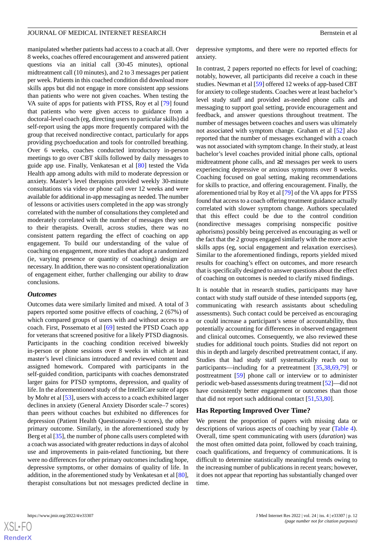manipulated whether patients had access to a coach at all. Over 8 weeks, coaches offered encouragement and answered patient questions via an initial call (30-45 minutes), optional midtreatment call (10 minutes), and 2 to 3 messages per patient per week. Patients in this coached condition did download more skills apps but did not engage in more consistent app sessions than patients who were not given coaches. When testing the VA suite of apps for patients with PTSS, Roy et al [\[79](#page-19-1)] found that patients who were given access to guidance from a doctoral-level coach (eg, directing users to particular skills) did self-report using the apps more frequently compared with the group that received nondirective contact, particularly for apps providing psychoeducation and tools for controlled breathing. Over 6 weeks, coaches conducted introductory in-person meetings to go over CBT skills followed by daily messages to guide app use. Finally, Venkatesan et al [\[80](#page-19-11)] tested the Vida Health app among adults with mild to moderate depression or anxiety. Master's level therapists provided weekly 30-minute consultations via video or phone call over 12 weeks and were available for additional in-app messaging as needed. The number of lessons or activities users completed in the app was strongly correlated with the number of consultations they completed and moderately correlated with the number of messages they sent to their therapists. Overall, across studies, there was no consistent pattern regarding the effect of coaching on app engagement. To build our understanding of the value of coaching on engagement, more studies that adopt a randomized (ie, varying presence or quantity of coaching) design are necessary. In addition, there was no consistent operationalization of engagement either, further challenging our ability to draw conclusions.

#### *Outcomes*

Outcomes data were similarly limited and mixed. A total of 3 papers reported some positive effects of coaching, 2 (67%) of which compared groups of users with and without access to a coach. First, Possemato et al [\[69](#page-19-0)] tested the PTSD Coach app for veterans that screened positive for a likely PTSD diagnosis. Participants in the coaching condition received biweekly in-person or phone sessions over 8 weeks in which at least master's level clinicians introduced and reviewed content and assigned homework. Compared with participants in the self-guided condition, participants with coaches demonstrated larger gains for PTSD symptoms, depression, and quality of life. In the aforementioned study of the IntelliCare suite of apps by Mohr et al [\[53](#page-18-0)], users with access to a coach exhibited larger declines in anxiety (General Anxiety Disorder scale–7 scores) than peers without coaches but exhibited no differences for depression (Patient Health Questionnaire–9 scores), the other primary outcome. Similarly, in the aforementioned study by Berg et al [[35\]](#page-17-5), the number of phone calls users completed with a coach was associated with greater reductions in days of alcohol use and improvements in pain-related functioning, but there were no differences for other primary outcomes including hope, depressive symptoms, or other domains of quality of life. In addition, in the aforementioned study by Venkatesan et al [[80\]](#page-19-11), therapist consultations but not messages predicted decline in

depressive symptoms, and there were no reported effects for anxiety.

In contrast, 2 papers reported no effects for level of coaching; notably, however, all participants did receive a coach in these studies. Newman et al [[59\]](#page-18-9) offered 12 weeks of app-based CBT for anxiety to college students. Coaches were at least bachelor's level study staff and provided as-needed phone calls and messaging to support goal setting, provide encouragement and feedback, and answer questions throughout treatment. The number of messages between coaches and users was ultimately not associated with symptom change. Graham et al [[52\]](#page-18-3) also reported that the number of messages exchanged with a coach was not associated with symptom change. In their study, at least bachelor's level coaches provided initial phone calls, optional midtreatment phone calls, and  $\geq 2$  messages per week to users experiencing depressive or anxious symptoms over 8 weeks. Coaching focused on goal setting, making recommendations for skills to practice, and offering encouragement. Finally, the aforementioned trial by Roy et al [[79\]](#page-19-1) of the VA apps for PTSS found that access to a coach offering treatment guidance actually correlated with slower symptom change. Authors speculated that this effect could be due to the control condition (nondirective messages comprising nonspecific positive aphorisms) possibly being perceived as encouraging as well or the fact that the 2 groups engaged similarly with the more active skills apps (eg, social engagement and relaxation exercises). Similar to the aforementioned findings, reports yielded mixed results for coaching's effect on outcomes, and more research that is specifically designed to answer questions about the effect of coaching on outcomes is needed to clarify mixed findings.

It is notable that in research studies, participants may have contact with study staff outside of these intended supports (eg, communicating with research assistants about scheduling assessments). Such contact could be perceived as encouraging or could increase a participant's sense of accountability, thus potentially accounting for differences in observed engagement and clinical outcomes. Consequently, we also reviewed these studies for additional touch points. Studies did not report on this in depth and largely described pretreatment contact, if any. Studies that had study staff systematically reach out to participants—including for a pretreatment [\[35](#page-17-5),[38,](#page-17-8)[69,](#page-19-0)[79\]](#page-19-1) or posttreatment [[59\]](#page-18-9) phone call or interview or to administer periodic web-based assessments during treatment [\[52](#page-18-3)]—did not have consistently better engagement or outcomes than those that did not report such additional contact [\[51](#page-18-2),[53,](#page-18-0)[80](#page-19-11)].

## **Has Reporting Improved Over Time?**

We present the proportion of papers with missing data or descriptions of various aspects of coaching by year ([Table 4\)](#page-12-0). Overall, time spent communicating with users (*duration*) was the most often omitted data point, followed by coach training, coach qualifications, and frequency of communications. It is difficult to determine statistically meaningful trends owing to the increasing number of publications in recent years; however, it does not appear that reporting has substantially changed over time.

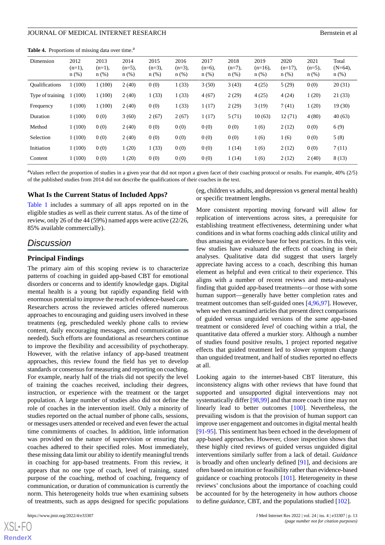<span id="page-12-0"></span>**Table 4.** Proportions of missing data over time.<sup>a</sup>

| Dimension             | 2012<br>$(n=1)$ ,<br>$n$ (%) | 2013<br>$(n=1)$ ,<br>$n$ (%) | 2014<br>$(n=5)$ ,<br>$n(\%)$ | 2015<br>$(n=3)$ ,<br>$n$ (%) | 2016<br>$(n=3)$ ,<br>$n$ (%) | 2017<br>$(n=6)$ ,<br>n(%) | 2018<br>$(n=7)$ ,<br>$n$ (%) | 2019<br>$(n=16)$ ,<br>n(%) | 2020<br>$(n=17)$ ,<br>$n$ (%) | 2021<br>$(n=5)$ ,<br>$n$ (%) | Total<br>$(N=64)$ ,<br>$n$ (%) |
|-----------------------|------------------------------|------------------------------|------------------------------|------------------------------|------------------------------|---------------------------|------------------------------|----------------------------|-------------------------------|------------------------------|--------------------------------|
| <b>Qualifications</b> | 1(100)                       | 1(100)                       | 2(40)                        | 0(0)                         | 1(33)                        | 3(50)                     | 3(43)                        | 4(25)                      | 5(29)                         | 0(0)                         | 20(31)                         |
| Type of training      | (100)                        | 1(100)                       | 2(40)                        | 1(33)                        | 1(33)                        | 4(67)                     | 2(29)                        | 4(25)                      | 4(24)                         | 1(20)                        | 21(33)                         |
| Frequency             | 1(100)                       | 1(100)                       | 2(40)                        | 0(0)                         | 1(33)                        | 1(17)                     | 2(29)                        | 3(19)                      | 7(41)                         | 1(20)                        | 19(30)                         |
| Duration              | 1(100)                       | 0(0)                         | 3(60)                        | 2(67)                        | 2(67)                        | 1(17)                     | 5(71)                        | 10(63)                     | 12(71)                        | 4(80)                        | 40(63)                         |
| Method                | 1(100)                       | 0(0)                         | 2(40)                        | 0(0)                         | 0(0)                         | 0(0)                      | 0(0)                         | 1(6)                       | 2(12)                         | 0(0)                         | 6(9)                           |
| Selection             | 1(100)                       | 0(0)                         | 2(40)                        | 0(0)                         | 0(0)                         | 0(0)                      | 0(0)                         | 1(6)                       | 1(6)                          | 0(0)                         | 5(8)                           |
| Initiation            | 1(100)                       | 0(0)                         | 1(20)                        | 1(33)                        | 0(0)                         | 0(0)                      | 1(14)                        | 1(6)                       | 2(12)                         | 0(0)                         | 7(11)                          |
| Content               | 1(100)                       | 0(0)                         | 1(20)                        | 0(0)                         | 0(0)                         | 0(0)                      | 1(14)                        | 1(6)                       | 2(12)                         | 2(40)                        | 8(13)                          |

<sup>a</sup>Values reflect the proportion of studies in a given year that did not report a given facet of their coaching protocol or results. For example, 40% (2/5) of the published studies from 2014 did not describe the qualifications of their coaches in the text.

#### **What Is the Current Status of Included Apps?**

[Table 1](#page-5-0) includes a summary of all apps reported on in the eligible studies as well as their current status. As of the time of review, only 26 of the 44 (59%) named apps were active (22/26, 85% available commercially).

# *Discussion*

#### **Principal Findings**

The primary aim of this scoping review is to characterize patterns of coaching in guided app-based CBT for emotional disorders or concerns and to identify knowledge gaps. Digital mental health is a young but rapidly expanding field with enormous potential to improve the reach of evidence-based care. Researchers across the reviewed articles offered numerous approaches to encouraging and guiding users involved in these treatments (eg, prescheduled weekly phone calls to review content, daily encouraging messages, and communication as needed). Such efforts are foundational as researchers continue to improve the flexibility and accessibility of psychotherapy. However, with the relative infancy of app-based treatment approaches, this review found the field has yet to develop standards or consensus for measuring and reporting on coaching. For example, nearly half of the trials did not specify the level of training the coaches received, including their degrees, instruction, or experience with the treatment or the target population. A large number of studies also did not define the role of coaches in the intervention itself. Only a minority of studies reported on the actual number of phone calls, sessions, or messages users attended or received and even fewer the actual time commitments of coaches. In addition, little information was provided on the nature of supervision or ensuring that coaches adhered to their specified roles. Most immediately, these missing data limit our ability to identify meaningful trends in coaching for app-based treatments. From this review, it appears that no one type of coach, level of training, stated purpose of the coaching, method of coaching, frequency of communication, or duration of communication is currently the norm. This heterogeneity holds true when examining subsets of treatments, such as apps designed for specific populations

 $XS$  • FC **[RenderX](http://www.renderx.com/)** (eg, children vs adults, and depression vs general mental health) or specific treatment lengths.

More consistent reporting moving forward will allow for replication of interventions across sites, a prerequisite for establishing treatment effectiveness, determining under what conditions and in what forms coaching adds clinical utility and thus amassing an evidence base for best practices. In this vein, few studies have evaluated the effects of coaching in their analyses. Qualitative data did suggest that users largely appreciate having access to a coach, describing this human element as helpful and even critical to their experience. This aligns with a number of recent reviews and meta-analyses finding that guided app-based treatments—or those with some human support—generally have better completion rates and treatment outcomes than self-guided ones [\[4](#page-15-3),[96](#page-20-4)[,97](#page-20-5)]. However, when we then examined articles that present direct comparisons of guided versus unguided versions of the *same* app-based treatment or considered *level* of coaching within a trial, the quantitative data offered a murkier story. Although a number of studies found positive results, 1 project reported negative effects that guided treatment led to slower symptom change than unguided treatment, and half of studies reported no effects at all.

Looking again to the internet-based CBT literature, this inconsistency aligns with other reviews that have found that supported and unsupported digital interventions may not systematically differ [\[98](#page-20-6)[,99](#page-20-7)] and that more coach time may not linearly lead to better outcomes [[100\]](#page-20-8). Nevertheless, the prevailing wisdom is that the provision of human support can improve user engagement and outcomes in digital mental health [[91](#page-20-2)[-95](#page-20-3)]. This sentiment has been echoed in the development of app-based approaches. However, closer inspection shows that these highly cited reviews of guided versus unguided digital interventions similarly suffer from a lack of detail. *Guidance* is broadly and often unclearly defined [\[91](#page-20-2)], and decisions are often based on intuition or feasibility rather than evidence-based guidance or coaching protocols [\[101](#page-20-9)]. Heterogeneity in these reviews' conclusions about the importance of coaching could be accounted for by the heterogeneity in how authors choose to define *guidance*, CBT, and the populations studied [\[102](#page-20-10)].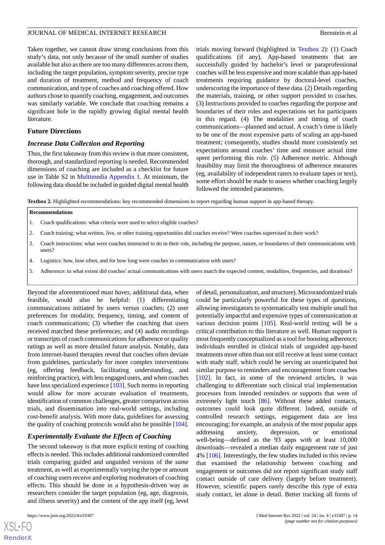Taken together, we cannot draw strong conclusions from this study's data, not only because of the small number of studies available but also as there are too many differences across them, including the target population, symptom severity, precise type and duration of treatment, method and frequency of coach communication, and type of coaches and coaching offered. How authors chose to quantify coaching, engagement, and outcomes was similarly variable. We conclude that coaching remains a significant hole in the rapidly growing digital mental health literature.

#### **Future Directions**

#### *Increase Data Collection and Reporting*

Thus, the first takeaway from this review is that more consistent, thorough, and standardized reporting is needed. Recommended dimensions of coaching are included as a checklist for future use in Table S2 in [Multimedia Appendix 1](#page-15-8). At minimum, the following data should be included in guided digital mental health trials moving forward (highlighted in [Textbox 2](#page-13-0)): (1) Coach qualifications (if any). App-based treatments that are successfully guided by bachelor's level or paraprofessional coaches will be less expensive and more scalable than app-based treatments requiring guidance by doctoral-level coaches, underscoring the importance of these data. (2) Details regarding the materials, training, or other support provided to coaches. (3) Instructions provided to coaches regarding the purpose and boundaries of their roles and expectations set for participants in this regard. (4) The modalities and timing of coach communications—planned and actual. A coach's time is likely to be one of the most expensive parts of scaling an app-based treatment; consequently, studies should more consistently set expectations around coaches' time and measure actual time spent performing this role. (5) Adherence metric. Although feasibility may limit the thoroughness of adherence measures (eg, availability of independent raters to evaluate tapes or text), some effort should be made to assess whether coaching largely followed the intended parameters.

<span id="page-13-0"></span>**Textbox 2.** Highlighted recommendations: key recommended dimensions to report regarding human support in app-based therapy.

#### **Recommendations**

- 1. Coach qualifications: what criteria were used to select eligible coaches?
- 2. Coach training: what written, live, or other training opportunities did coaches receive? Were coaches supervised in their work?
- 3. Coach instructions: what were coaches instructed to do in their role, including the purpose, nature, or boundaries of their communications with users?
- 4. Logistics: how, how often, and for how long were coaches in communication with users?
- 5. Adherence: to what extent did coaches' actual communications with users match the expected content, modalities, frequencies, and durations?

Beyond the aforementioned *must haves*, additional data, when feasible, would also be helpful: (1) differentiating communications initiated by users versus coaches; (2) user preferences for modality, frequency, timing, and content of coach communications; (3) whether the coaching that users received matched these preferences; and (4) audio recordings or transcripts of coach communications for adherence or quality ratings as well as more detailed future analysis. Notably, data from internet-based therapies reveal that coaches often deviate from guidelines, particularly for more complex interventions (eg, offering feedback, facilitating understanding, and reinforcing practice), with less engaged users, and when coaches have less specialized experience [\[103](#page-20-11)]. Such norms in reporting would allow for more accurate evaluation of treatments, identification of common challenges, greater comparison across trials, and dissemination into real-world settings, including cost-benefit analysis. With more data, guidelines for assessing the quality of coaching protocols would also be possible [[104\]](#page-20-12).

#### *Experimentally Evaluate the Effects of Coaching*

The second takeaway is that more explicit testing of coaching effects is needed. This includes additional randomized controlled trials comparing guided and unguided versions of the *same* treatment, as well as experimentally varying the type or amount of coaching users receive and exploring moderators of coaching effects. This should be done in a hypothesis-driven way as researchers consider the target population (eg, age, diagnosis, and illness severity) and the content of the app itself (eg, level

of detail, personalization, and structure). Microrandomized trials could be particularly powerful for these types of questions, allowing investigators to systematically test multiple small but potentially impactful and expensive types of communication at various decision points [[105\]](#page-20-13). Real-world testing will be a critical contribution to this literature as well. Human support is most frequently conceptualized as a tool for boosting adherence; individuals enrolled in clinical trials of unguided app-based treatments more often than not still receive at least some contact with study staff, which could be serving an unanticipated but similar purpose to reminders and encouragement from coaches [[102\]](#page-20-10). In fact, in some of the reviewed articles, it was challenging to differentiate such clinical trial implementation processes from intended reminders or supports that were of extremely light touch [\[86](#page-19-17)]. Without these added contacts, outcomes could look quite different. Indeed, outside of controlled research settings, engagement data are less encouraging; for example, an analysis of the most popular apps addressing anxiety, depression, or emotional well-being—defined as the 93 apps with at least 10,000 downloads—revealed a median daily engagement rate of just 4% [[106\]](#page-20-14). Interestingly, the few studies included in this review that examined the relationship between coaching and engagement or outcomes did not report significant study staff contact outside of care delivery (largely before treatment). However, scientific papers rarely describe this type of extra study contact, let alone in detail. Better tracking all forms of

```
XSJ \cdot FRenderX
```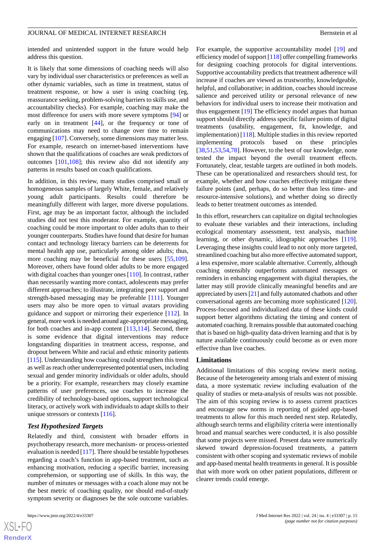intended and unintended support in the future would help address this question.

It is likely that some dimensions of coaching needs will also vary by individual user characteristics or preferences as well as other dynamic variables, such as time in treatment, status of treatment response, or how a user is using coaching (eg, reassurance seeking, problem-solving barriers to skills use, and accountability checks). For example, coaching may make the most difference for users with more severe symptoms [[94\]](#page-20-15) or early on in treatment [\[44](#page-17-14)], or the frequency or tone of communications may need to change over time to remain engaging [\[107\]](#page-20-16). Conversely, some dimensions may matter less. For example, research on internet-based interventions have shown that the qualifications of coaches are weak predictors of outcomes [\[101](#page-20-9),[108\]](#page-20-17); this review also did not identify any patterns in results based on coach qualifications.

In addition, in this review, many studies comprised small or homogeneous samples of largely White, female, and relatively young adult participants. Results could therefore be meaningfully different with larger, more diverse populations. First, age may be an important factor, although the included studies did not test this moderator. For example, quantity of coaching could be more important to older adults than to their younger counterparts. Studies have found that desire for human contact and technology literacy barriers can be deterrents for mental health app use, particularly among older adults; thus, more coaching may be beneficial for these users [\[55](#page-18-5),[109\]](#page-21-0). Moreover, others have found older adults to be more engaged with digital coaches than younger ones [[110\]](#page-21-1). In contrast, rather than necessarily wanting more contact, adolescents may prefer different approaches; to illustrate, integrating peer support and strength-based messaging may be preferable [\[111](#page-21-2)]. Younger users may also be more open to virtual avatars providing guidance and support or mirroring their experience [[112\]](#page-21-3). In general, more work is needed around age-appropriate messaging, for both coaches and in-app content [\[113](#page-21-4),[114\]](#page-21-5). Second, there is some evidence that digital interventions may reduce longstanding disparities in treatment access, response, and dropout between White and racial and ethnic minority patients [[115\]](#page-21-6). Understanding how coaching could strengthen this trend as well as reach other underrepresented potential users, including sexual and gender minority individuals or older adults, should be a priority. For example, researchers may closely examine patterns of user preferences, use coaches to increase the credibility of technology-based options, support technological literacy, or actively work with individuals to adapt skills to their unique stressors or contexts [\[116](#page-21-7)].

#### *Test Hypothesized Targets*

Relatedly and third, consistent with broader efforts in psychotherapy research, more mechanism- or process-oriented evaluation is needed [[117](#page-21-8)]. There should be testable hypotheses regarding a coach's function in app-based treatment, such as enhancing motivation, reducing a specific barrier, increasing comprehension, or supporting use of skills. In this way, the number of minutes or messages with a coach alone may not be the best metric of coaching quality, nor should end-of-study symptom severity or diagnoses be the sole outcome variables.

For example, the supportive accountability model [\[19](#page-16-10)] and efficiency model of support [\[118](#page-21-9)] offer compelling frameworks for designing coaching protocols for digital interventions. Supportive accountability predicts that treatment adherence will increase if coaches are viewed as trustworthy, knowledgeable, helpful, and collaborative; in addition, coaches should increase salience and perceived utility or personal relevance of new behaviors for individual users to increase their motivation and thus engagement [[19\]](#page-16-10) The efficiency model argues that human support should directly address specific failure points of digital treatments (usability, engagement, fit, knowledge, and implementation) [\[118](#page-21-9)]. Multiple studies in this review reported implementing protocols based on these principles [[38,](#page-17-8)[51,](#page-18-2)[53](#page-18-0)[,54](#page-18-4),[78\]](#page-19-10). However, to the best of our knowledge, none tested the impact beyond the overall treatment effects. Fortunately, clear, testable targets are outlined in both models. These can be operationalized and researchers should test, for example, whether and how coaches effectively mitigate these failure points (and, perhaps, do so better than less time- and resource-intensive solutions), and whether doing so directly leads to better treatment outcomes as intended.

In this effort, researchers can capitalize on digital technologies to evaluate these variables and their interactions, including ecological momentary assessment, text analysis, machine learning, or other dynamic, idiographic approaches [[119\]](#page-21-10). Leveraging these insights could lead to not only more targeted, streamlined coaching but also more effective automated support, a less expensive, more scalable alternative. Currently, although coaching ostensibly outperforms automated messages or reminders in enhancing engagement with digital therapies, the latter may still provide clinically meaningful benefits and are appreciated by users [[21\]](#page-16-12) and fully automated chatbots and other conversational agents are becoming more sophisticated [[120\]](#page-21-11). Process-focused and individualized data of these kinds could support better algorithms dictating the timing and content of automated coaching. It remains possible that automated coaching that is based on high-quality data-driven learning and that is by nature available continuously could become as or even more effective than live coaches.

#### **Limitations**

Additional limitations of this scoping review merit noting. Because of the heterogeneity among trials and extent of missing data, a more systematic review including evaluation of the quality of studies or meta-analysis of results was not possible. The aim of this scoping review is to assess current practices and encourage new norms in reporting of guided app-based treatments to allow for this much needed next step. Relatedly, although search terms and eligibility criteria were intentionally broad and manual searches were conducted, it is also possible that some projects were missed. Present data were numerically skewed toward depression-focused treatments, a pattern consistent with other scoping and systematic reviews of mobile and app-based mental health treatments in general. It is possible that with more work on other patient populations, different or clearer trends could emerge.

 $XS$  $\cdot$ FC **[RenderX](http://www.renderx.com/)**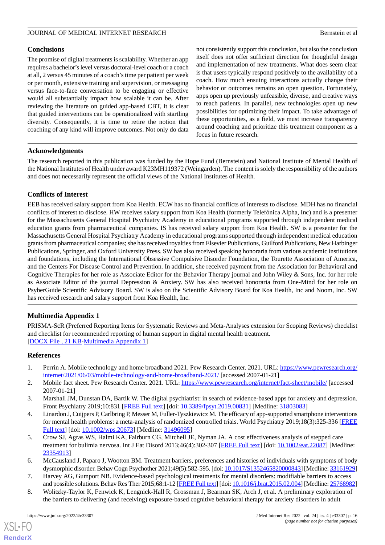## **Conclusions**

The promise of digital treatments is scalability. Whether an app requires a bachelor's level versus doctoral-level coach or a coach at all, 2 versus 45 minutes of a coach's time per patient per week or per month, extensive training and supervision, or messaging versus face-to-face conversation to be engaging or effective would all substantially impact how scalable it can be. After reviewing the literature on guided app-based CBT, it is clear that guided interventions can be operationalized with startling diversity. Consequently, it is time to retire the notion that coaching of any kind will improve outcomes. Not only do data not consistently support this conclusion, but also the conclusion itself does not offer sufficient direction for thoughtful design and implementation of new treatments. What does seem clear is that users typically respond positively to the availability of a coach. How much ensuing interactions actually change their behavior or outcomes remains an open question. Fortunately, apps open up previously unfeasible, diverse, and creative ways to reach patients. In parallel, new technologies open up new possibilities for optimizing their impact. To take advantage of these opportunities, as a field, we must increase transparency around coaching and prioritize this treatment component as a focus in future research.

# **Acknowledgments**

The research reported in this publication was funded by the Hope Fund (Bernstein) and National Institute of Mental Health of the National Institutes of Health under award K23MH119372 (Weingarden). The content is solely the responsibility of the authors and does not necessarily represent the official views of the National Institutes of Health.

# **Conflicts of Interest**

EEB has received salary support from Koa Health. ECW has no financial conflicts of interests to disclose. MDH has no financial conflicts of interest to disclose. HW receives salary support from Koa Health (formerly Telefónica Alpha, Inc) and is a presenter for the Massachusetts General Hospital Psychiatry Academy in educational programs supported through independent medical education grants from pharmaceutical companies. IS has received salary support from Koa Health. SW is a presenter for the Massachusetts General Hospital Psychiatry Academy in educational programs supported through independent medical education grants from pharmaceutical companies; she has received royalties from Elsevier Publications, Guilford Publications, New Harbinger Publications, Springer, and Oxford University Press. SW has also received speaking honoraria from various academic institutions and foundations, including the International Obsessive Compulsive Disorder Foundation, the Tourette Association of America, and the Centers For Disease Control and Prevention. In addition, she received payment from the Association for Behavioral and Cognitive Therapies for her role as Associate Editor for the Behavior Therapy journal and John Wiley & Sons, Inc. for her role as Associate Editor of the journal Depression & Anxiety. SW has also received honoraria from One-Mind for her role on PsyberGuide Scientific Advisory Board. SW is also on the Scientific Advisory Board for Koa Health, Inc and Noom, Inc. SW has received research and salary support from Koa Health, Inc.

# <span id="page-15-8"></span>**Multimedia Appendix 1**

<span id="page-15-0"></span>PRISMA-ScR (Preferred Reporting Items for Systematic Reviews and Meta-Analyses extension for Scoping Reviews) checklist and checklist for recommended reporting of human support in digital mental health treatment. [[DOCX File , 21 KB](https://jmir.org/api/download?alt_name=jmir_v24i4e33307_app1.docx&filename=180fe382509a7504006ae603e3168043.docx)-[Multimedia Appendix 1\]](https://jmir.org/api/download?alt_name=jmir_v24i4e33307_app1.docx&filename=180fe382509a7504006ae603e3168043.docx)

## <span id="page-15-2"></span><span id="page-15-1"></span>**References**

- <span id="page-15-3"></span>1. Perrin A. Mobile technology and home broadband 2021. Pew Research Center. 2021. URL: [https://www.pewresearch.org/](https://www.pewresearch.org/internet/2021/06/03/mobile-technology-and-home-broadband-2021/) [internet/2021/06/03/mobile-technology-and-home-broadband-2021/](https://www.pewresearch.org/internet/2021/06/03/mobile-technology-and-home-broadband-2021/) [accessed 2007-01-21]
- 2. Mobile fact sheet. Pew Research Center. 2021. URL: <https://www.pewresearch.org/internet/fact-sheet/mobile/> [accessed] 2007-01-21]
- <span id="page-15-4"></span>3. Marshall JM, Dunstan DA, Bartik W. The digital psychiatrist: in search of evidence-based apps for anxiety and depression. Front Psychiatry 2019;10:831 [[FREE Full text](https://doi.org/10.3389/fpsyt.2019.00831)] [doi: [10.3389/fpsyt.2019.00831\]](http://dx.doi.org/10.3389/fpsyt.2019.00831) [Medline: [31803083](http://www.ncbi.nlm.nih.gov/entrez/query.fcgi?cmd=Retrieve&db=PubMed&list_uids=31803083&dopt=Abstract)]
- <span id="page-15-5"></span>4. Linardon J, Cuijpers P, Carlbring P, Messer M, Fuller-Tyszkiewicz M. The efficacy of app-supported smartphone interventions for mental health problems: a meta-analysis of randomized controlled trials. World Psychiatry 2019;18(3):325-336 [\[FREE](https://doi.org/10.1002/wps.20673) [Full text\]](https://doi.org/10.1002/wps.20673) [doi: [10.1002/wps.20673](http://dx.doi.org/10.1002/wps.20673)] [Medline: [31496095\]](http://www.ncbi.nlm.nih.gov/entrez/query.fcgi?cmd=Retrieve&db=PubMed&list_uids=31496095&dopt=Abstract)
- <span id="page-15-7"></span><span id="page-15-6"></span>5. Crow SJ, Agras WS, Halmi KA, Fairburn CG, Mitchell JE, Nyman JA. A cost effectiveness analysis of stepped care treatment for bulimia nervosa. Int J Eat Disord 2013;46(4):302-307 [[FREE Full text](https://doi.org/10.1002/eat.22087)] [doi: [10.1002/eat.22087\]](http://dx.doi.org/10.1002/eat.22087) [Medline: [23354913](http://www.ncbi.nlm.nih.gov/entrez/query.fcgi?cmd=Retrieve&db=PubMed&list_uids=23354913&dopt=Abstract)]
- 6. McCausland J, Paparo J, Wootton BM. Treatment barriers, preferences and histories of individuals with symptoms of body dysmorphic disorder. Behav Cogn Psychother 2021;49(5):582-595. [doi: [10.1017/S1352465820000843](http://dx.doi.org/10.1017/S1352465820000843)] [Medline: [33161929\]](http://www.ncbi.nlm.nih.gov/entrez/query.fcgi?cmd=Retrieve&db=PubMed&list_uids=33161929&dopt=Abstract)
- 7. Harvey AG, Gumport NB. Evidence-based psychological treatments for mental disorders: modifiable barriers to access and possible solutions. Behav Res Ther 2015;68:1-12 [\[FREE Full text](http://europepmc.org/abstract/MED/25768982)] [doi: [10.1016/j.brat.2015.02.004](http://dx.doi.org/10.1016/j.brat.2015.02.004)] [Medline: [25768982\]](http://www.ncbi.nlm.nih.gov/entrez/query.fcgi?cmd=Retrieve&db=PubMed&list_uids=25768982&dopt=Abstract)
- 8. Wolitzky-Taylor K, Fenwick K, Lengnick-Hall R, Grossman J, Bearman SK, Arch J, et al. A preliminary exploration of the barriers to delivering (and receiving) exposure-based cognitive behavioral therapy for anxiety disorders in adult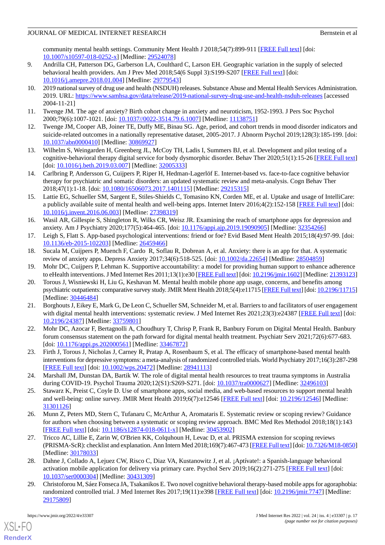community mental health settings. Community Ment Health J 2018;54(7):899-911 [[FREE Full text](http://europepmc.org/abstract/MED/29524078)] [doi: [10.1007/s10597-018-0252-x\]](http://dx.doi.org/10.1007/s10597-018-0252-x) [Medline: [29524078](http://www.ncbi.nlm.nih.gov/entrez/query.fcgi?cmd=Retrieve&db=PubMed&list_uids=29524078&dopt=Abstract)]

- <span id="page-16-0"></span>9. Andrilla CH, Patterson DG, Garberson LA, Coulthard C, Larson EH. Geographic variation in the supply of selected behavioral health providers. Am J Prev Med 2018;54(6 Suppl 3):S199-S207 [[FREE Full text](https://linkinghub.elsevier.com/retrieve/pii/S0749-3797(18)30005-9)] [doi: [10.1016/j.amepre.2018.01.004](http://dx.doi.org/10.1016/j.amepre.2018.01.004)] [Medline: [29779543\]](http://www.ncbi.nlm.nih.gov/entrez/query.fcgi?cmd=Retrieve&db=PubMed&list_uids=29779543&dopt=Abstract)
- <span id="page-16-1"></span>10. 2019 national survey of drug use and health (NSDUH) releases. Substance Abuse and Mental Health Services Administration. 2019. URL: <https://www.samhsa.gov/data/release/2019-national-survey-drug-use-and-health-nsduh-releases> [accessed 2004-11-21]
- <span id="page-16-3"></span><span id="page-16-2"></span>11. Twenge JM. The age of anxiety? Birth cohort change in anxiety and neuroticism, 1952-1993. J Pers Soc Psychol 2000;79(6):1007-1021. [doi: [10.1037//0022-3514.79.6.1007](http://dx.doi.org/10.1037//0022-3514.79.6.1007)] [Medline: [11138751](http://www.ncbi.nlm.nih.gov/entrez/query.fcgi?cmd=Retrieve&db=PubMed&list_uids=11138751&dopt=Abstract)]
- <span id="page-16-4"></span>12. Twenge JM, Cooper AB, Joiner TE, Duffy ME, Binau SG. Age, period, and cohort trends in mood disorder indicators and suicide-related outcomes in a nationally representative dataset, 2005-2017. J Abnorm Psychol 2019;128(3):185-199. [doi: [10.1037/abn0000410](http://dx.doi.org/10.1037/abn0000410)] [Medline: [30869927](http://www.ncbi.nlm.nih.gov/entrez/query.fcgi?cmd=Retrieve&db=PubMed&list_uids=30869927&dopt=Abstract)]
- <span id="page-16-5"></span>13. Wilhelm S, Weingarden H, Greenberg JL, McCoy TH, Ladis I, Summers BJ, et al. Development and pilot testing of a cognitive-behavioral therapy digital service for body dysmorphic disorder. Behav Ther 2020;51(1):15-26 [\[FREE Full text](https://linkinghub.elsevier.com/retrieve/pii/S0005-7894(19)30096-6)] [doi: [10.1016/j.beth.2019.03.007](http://dx.doi.org/10.1016/j.beth.2019.03.007)] [Medline: [32005333\]](http://www.ncbi.nlm.nih.gov/entrez/query.fcgi?cmd=Retrieve&db=PubMed&list_uids=32005333&dopt=Abstract)
- <span id="page-16-6"></span>14. Carlbring P, Andersson G, Cuijpers P, Riper H, Hedman-Lagerlöf E. Internet-based vs. face-to-face cognitive behavior therapy for psychiatric and somatic disorders: an updated systematic review and meta-analysis. Cogn Behav Ther 2018;47(1):1-18. [doi: [10.1080/16506073.2017.1401115\]](http://dx.doi.org/10.1080/16506073.2017.1401115) [Medline: [29215315\]](http://www.ncbi.nlm.nih.gov/entrez/query.fcgi?cmd=Retrieve&db=PubMed&list_uids=29215315&dopt=Abstract)
- <span id="page-16-7"></span>15. Lattie EG, Schueller SM, Sargent E, Stiles-Shields C, Tomasino KN, Corden ME, et al. Uptake and usage of IntelliCare: a publicly available suite of mental health and well-being apps. Internet Interv 2016;4(2):152-158 [[FREE Full text](https://linkinghub.elsevier.com/retrieve/pii/S2214-7829(15)30029-4)] [doi: [10.1016/j.invent.2016.06.003](http://dx.doi.org/10.1016/j.invent.2016.06.003)] [Medline: [27398319\]](http://www.ncbi.nlm.nih.gov/entrez/query.fcgi?cmd=Retrieve&db=PubMed&list_uids=27398319&dopt=Abstract)
- <span id="page-16-9"></span><span id="page-16-8"></span>16. Wasil AR, Gillespie S, Shingleton R, Wilks CR, Weisz JR. Examining the reach of smartphone apps for depression and anxiety. Am J Psychiatry 2020;177(5):464-465. [doi: [10.1176/appi.ajp.2019.19090905](http://dx.doi.org/10.1176/appi.ajp.2019.19090905)] [Medline: [32354266\]](http://www.ncbi.nlm.nih.gov/entrez/query.fcgi?cmd=Retrieve&db=PubMed&list_uids=32354266&dopt=Abstract)
- <span id="page-16-10"></span>17. Leigh S, Flatt S. App-based psychological interventions: friend or foe? Evid Based Ment Health 2015;18(4):97-99. [doi: [10.1136/eb-2015-102203\]](http://dx.doi.org/10.1136/eb-2015-102203) [Medline: [26459466\]](http://www.ncbi.nlm.nih.gov/entrez/query.fcgi?cmd=Retrieve&db=PubMed&list_uids=26459466&dopt=Abstract)
- <span id="page-16-11"></span>18. Sucala M, Cuijpers P, Muench F, Cardo R, Soflau R, Dobrean A, et al. Anxiety: there is an app for that. A systematic review of anxiety apps. Depress Anxiety 2017;34(6):518-525. [doi: [10.1002/da.22654](http://dx.doi.org/10.1002/da.22654)] [Medline: [28504859](http://www.ncbi.nlm.nih.gov/entrez/query.fcgi?cmd=Retrieve&db=PubMed&list_uids=28504859&dopt=Abstract)]
- 19. Mohr DC, Cuijpers P, Lehman K. Supportive accountability: a model for providing human support to enhance adherence to eHealth interventions. J Med Internet Res 2011;13(1):e30 [\[FREE Full text\]](https://www.jmir.org/2011/1/e30/) [doi: [10.2196/jmir.1602\]](http://dx.doi.org/10.2196/jmir.1602) [Medline: [21393123\]](http://www.ncbi.nlm.nih.gov/entrez/query.fcgi?cmd=Retrieve&db=PubMed&list_uids=21393123&dopt=Abstract)
- <span id="page-16-12"></span>20. Torous J, Wisniewski H, Liu G, Keshavan M. Mental health mobile phone app usage, concerns, and benefits among psychiatric outpatients: comparative survey study. JMIR Ment Health 2018;5(4):e11715 [\[FREE Full text\]](https://mental.jmir.org/2018/4/e11715/) [doi: [10.2196/11715](http://dx.doi.org/10.2196/11715)] [Medline: [30446484](http://www.ncbi.nlm.nih.gov/entrez/query.fcgi?cmd=Retrieve&db=PubMed&list_uids=30446484&dopt=Abstract)]
- <span id="page-16-14"></span><span id="page-16-13"></span>21. Borghouts J, Eikey E, Mark G, De Leon C, Schueller SM, Schneider M, et al. Barriers to and facilitators of user engagement with digital mental health interventions: systematic review. J Med Internet Res 2021;23(3):e24387 [[FREE Full text\]](https://www.jmir.org/2021/3/e24387/) [doi: [10.2196/24387\]](http://dx.doi.org/10.2196/24387) [Medline: [33759801\]](http://www.ncbi.nlm.nih.gov/entrez/query.fcgi?cmd=Retrieve&db=PubMed&list_uids=33759801&dopt=Abstract)
- <span id="page-16-15"></span>22. Mohr DC, Azocar F, Bertagnolli A, Choudhury T, Chrisp P, Frank R, Banbury Forum on Digital Mental Health. Banbury forum consensus statement on the path forward for digital mental health treatment. Psychiatr Serv 2021;72(6):677-683. [doi: [10.1176/appi.ps.202000561](http://dx.doi.org/10.1176/appi.ps.202000561)] [Medline: [33467872](http://www.ncbi.nlm.nih.gov/entrez/query.fcgi?cmd=Retrieve&db=PubMed&list_uids=33467872&dopt=Abstract)]
- <span id="page-16-16"></span>23. Firth J, Torous J, Nicholas J, Carney R, Pratap A, Rosenbaum S, et al. The efficacy of smartphone-based mental health interventions for depressive symptoms: a meta-analysis of randomized controlled trials. World Psychiatry 2017;16(3):287-298 [[FREE Full text](https://doi.org/10.1002/wps.20472)] [doi: [10.1002/wps.20472](http://dx.doi.org/10.1002/wps.20472)] [Medline: [28941113](http://www.ncbi.nlm.nih.gov/entrez/query.fcgi?cmd=Retrieve&db=PubMed&list_uids=28941113&dopt=Abstract)]
- <span id="page-16-17"></span>24. Marshall JM, Dunstan DA, Bartik W. The role of digital mental health resources to treat trauma symptoms in Australia during COVID-19. Psychol Trauma 2020;12(S1):S269-S271. [doi: [10.1037/tra0000627](http://dx.doi.org/10.1037/tra0000627)] [Medline: [32496103](http://www.ncbi.nlm.nih.gov/entrez/query.fcgi?cmd=Retrieve&db=PubMed&list_uids=32496103&dopt=Abstract)]
- <span id="page-16-18"></span>25. Stawarz K, Preist C, Coyle D. Use of smartphone apps, social media, and web-based resources to support mental health and well-being: online survey. JMIR Ment Health 2019;6(7):e12546 [\[FREE Full text\]](https://mental.jmir.org/2019/7/e12546/) [doi: [10.2196/12546](http://dx.doi.org/10.2196/12546)] [Medline: [31301126](http://www.ncbi.nlm.nih.gov/entrez/query.fcgi?cmd=Retrieve&db=PubMed&list_uids=31301126&dopt=Abstract)]
- <span id="page-16-19"></span>26. Munn Z, Peters MD, Stern C, Tufanaru C, McArthur A, Aromataris E. Systematic review or scoping review? Guidance for authors when choosing between a systematic or scoping review approach. BMC Med Res Methodol 2018;18(1):143 [[FREE Full text](https://bmcmedresmethodol.biomedcentral.com/articles/10.1186/s12874-018-0611-x)] [doi: [10.1186/s12874-018-0611-x\]](http://dx.doi.org/10.1186/s12874-018-0611-x) [Medline: [30453902](http://www.ncbi.nlm.nih.gov/entrez/query.fcgi?cmd=Retrieve&db=PubMed&list_uids=30453902&dopt=Abstract)]
- <span id="page-16-20"></span>27. Tricco AC, Lillie E, Zarin W, O'Brien KK, Colquhoun H, Levac D, et al. PRISMA extension for scoping reviews (PRISMA-ScR): checklist and explanation. Ann Intern Med 2018;169(7):467-473 [[FREE Full text\]](https://www.acpjournals.org/doi/abs/10.7326/M18-0850?url_ver=Z39.88-2003&rfr_id=ori:rid:crossref.org&rfr_dat=cr_pub%3dpubmed) [doi: [10.7326/M18-0850\]](http://dx.doi.org/10.7326/M18-0850) [Medline: [30178033](http://www.ncbi.nlm.nih.gov/entrez/query.fcgi?cmd=Retrieve&db=PubMed&list_uids=30178033&dopt=Abstract)]
- 28. Dahne J, Collado A, Lejuez CW, Risco C, Diaz VA, Kustanowitz J, et al. ¡Aptívate!: a Spanish-language behavioral activation mobile application for delivery via primary care. Psychol Serv 2019;16(2):271-275 [\[FREE Full text](http://europepmc.org/abstract/MED/30431309)] [doi: [10.1037/ser0000304](http://dx.doi.org/10.1037/ser0000304)] [Medline: [30431309](http://www.ncbi.nlm.nih.gov/entrez/query.fcgi?cmd=Retrieve&db=PubMed&list_uids=30431309&dopt=Abstract)]
- 29. Christoforou M, Sáez Fonseca JA, Tsakanikos E. Two novel cognitive behavioral therapy-based mobile apps for agoraphobia: randomized controlled trial. J Med Internet Res 2017;19(11):e398 [\[FREE Full text\]](https://www.jmir.org/2017/11/e398/) [doi: [10.2196/jmir.7747\]](http://dx.doi.org/10.2196/jmir.7747) [Medline: [29175809](http://www.ncbi.nlm.nih.gov/entrez/query.fcgi?cmd=Retrieve&db=PubMed&list_uids=29175809&dopt=Abstract)]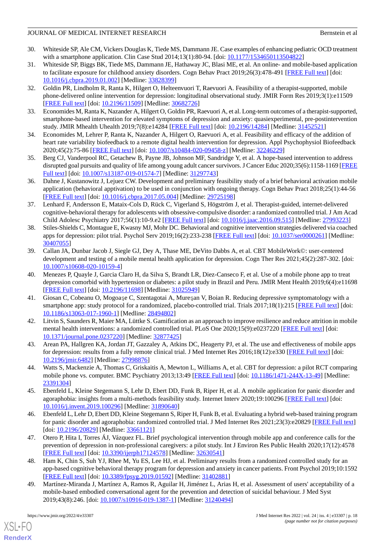- <span id="page-17-0"></span>30. Whiteside SP, Ale CM, Vickers Douglas K, Tiede MS, Dammann JE. Case examples of enhancing pediatric OCD treatment with a smartphone application. Clin Case Stud 2014;13(1):80-94. [doi: [10.1177/1534650113504822](http://dx.doi.org/10.1177/1534650113504822)]
- <span id="page-17-1"></span>31. Whiteside SP, Biggs BK, Tiede MS, Dammann JE, Hathaway JC, Blasi ME, et al. An online- and mobile-based application to facilitate exposure for childhood anxiety disorders. Cogn Behav Pract 2019;26(3):478-491 [\[FREE Full text\]](http://europepmc.org/abstract/MED/33828399) [doi: [10.1016/j.cbpra.2019.01.002\]](http://dx.doi.org/10.1016/j.cbpra.2019.01.002) [Medline: [33828399\]](http://www.ncbi.nlm.nih.gov/entrez/query.fcgi?cmd=Retrieve&db=PubMed&list_uids=33828399&dopt=Abstract)
- <span id="page-17-2"></span>32. Goldin PR, Lindholm R, Ranta K, Hilgert O, Helteenvuori T, Raevuori A. Feasibility of a therapist-supported, mobile phone-delivered online intervention for depression: longitudinal observational study. JMIR Form Res 2019;3(1):e11509 [[FREE Full text](https://formative.jmir.org/2019/1/e11509/)] [doi: [10.2196/11509\]](http://dx.doi.org/10.2196/11509) [Medline: [30682726\]](http://www.ncbi.nlm.nih.gov/entrez/query.fcgi?cmd=Retrieve&db=PubMed&list_uids=30682726&dopt=Abstract)
- <span id="page-17-4"></span><span id="page-17-3"></span>33. Economides M, Ranta K, Nazander A, Hilgert O, Goldin PR, Raevuori A, et al. Long-term outcomes of a therapist-supported, smartphone-based intervention for elevated symptoms of depression and anxiety: quasiexperimental, pre-postintervention study. JMIR Mhealth Uhealth 2019;7(8):e14284 [\[FREE Full text\]](https://mhealth.jmir.org/2019/8/e14284/) [doi: [10.2196/14284](http://dx.doi.org/10.2196/14284)] [Medline: [31452521\]](http://www.ncbi.nlm.nih.gov/entrez/query.fcgi?cmd=Retrieve&db=PubMed&list_uids=31452521&dopt=Abstract)
- <span id="page-17-5"></span>34. Economides M, Lehrer P, Ranta K, Nazander A, Hilgert O, Raevuori A, et al. Feasibility and efficacy of the addition of heart rate variability biofeedback to a remote digital health intervention for depression. Appl Psychophysiol Biofeedback 2020;45(2):75-86 [[FREE Full text](http://europepmc.org/abstract/MED/32246229)] [doi: [10.1007/s10484-020-09458-z](http://dx.doi.org/10.1007/s10484-020-09458-z)] [Medline: [32246229\]](http://www.ncbi.nlm.nih.gov/entrez/query.fcgi?cmd=Retrieve&db=PubMed&list_uids=32246229&dopt=Abstract)
- <span id="page-17-6"></span>35. Berg CJ, Vanderpool RC, Getachew B, Payne JB, Johnson MF, Sandridge Y, et al. A hope-based intervention to address disrupted goal pursuits and quality of life among young adult cancer survivors. J Cancer Educ 2020;35(6):1158-1169 [\[FREE](http://europepmc.org/abstract/MED/31297743) [Full text\]](http://europepmc.org/abstract/MED/31297743) [doi: [10.1007/s13187-019-01574-7](http://dx.doi.org/10.1007/s13187-019-01574-7)] [Medline: [31297743](http://www.ncbi.nlm.nih.gov/entrez/query.fcgi?cmd=Retrieve&db=PubMed&list_uids=31297743&dopt=Abstract)]
- <span id="page-17-7"></span>36. Dahne J, Kustanowitz J, Lejuez CW. Development and preliminary feasibility study of a brief behavioral activation mobile application (behavioral apptivation) to be used in conjunction with ongoing therapy. Cogn Behav Pract 2018;25(1):44-56 [[FREE Full text](http://europepmc.org/abstract/MED/29725198)] [doi: [10.1016/j.cbpra.2017.05.004\]](http://dx.doi.org/10.1016/j.cbpra.2017.05.004) [Medline: [29725198](http://www.ncbi.nlm.nih.gov/entrez/query.fcgi?cmd=Retrieve&db=PubMed&list_uids=29725198&dopt=Abstract)]
- <span id="page-17-8"></span>37. Lenhard F, Andersson E, Mataix-Cols D, Rück C, Vigerland S, Högström J, et al. Therapist-guided, internet-delivered cognitive-behavioral therapy for adolescents with obsessive-compulsive disorder: a randomized controlled trial. J Am Acad Child Adolesc Psychiatry 2017;56(1):10-9.e2 [[FREE Full text\]](https://linkinghub.elsevier.com/retrieve/pii/S0890-8567(16)31857-3) [doi: [10.1016/j.jaac.2016.09.515](http://dx.doi.org/10.1016/j.jaac.2016.09.515)] [Medline: [27993223](http://www.ncbi.nlm.nih.gov/entrez/query.fcgi?cmd=Retrieve&db=PubMed&list_uids=27993223&dopt=Abstract)]
- <span id="page-17-9"></span>38. Stiles-Shields C, Montague E, Kwasny MJ, Mohr DC. Behavioral and cognitive intervention strategies delivered via coached apps for depression: pilot trial. Psychol Serv 2019;16(2):233-238 [[FREE Full text](http://europepmc.org/abstract/MED/30407055)] [doi: [10.1037/ser0000261](http://dx.doi.org/10.1037/ser0000261)] [Medline: [30407055](http://www.ncbi.nlm.nih.gov/entrez/query.fcgi?cmd=Retrieve&db=PubMed&list_uids=30407055&dopt=Abstract)]
- <span id="page-17-10"></span>39. Callan JA, Dunbar Jacob J, Siegle GJ, Dey A, Thase ME, DeVito Dabbs A, et al. CBT MobileWork©: user-centered development and testing of a mobile mental health application for depression. Cogn Ther Res 2021;45(2):287-302. [doi: [10.1007/s10608-020-10159-4\]](http://dx.doi.org/10.1007/s10608-020-10159-4)
- <span id="page-17-11"></span>40. Menezes P, Quayle J, Garcia Claro H, da Silva S, Brandt LR, Diez-Canseco F, et al. Use of a mobile phone app to treat depression comorbid with hypertension or diabetes: a pilot study in Brazil and Peru. JMIR Ment Health 2019;6(4):e11698 [[FREE Full text](https://mental.jmir.org/2019/4/e11698/)] [doi: [10.2196/11698\]](http://dx.doi.org/10.2196/11698) [Medline: [31025949\]](http://www.ncbi.nlm.nih.gov/entrez/query.fcgi?cmd=Retrieve&db=PubMed&list_uids=31025949&dopt=Abstract)
- <span id="page-17-12"></span>41. Giosan C, Cobeanu O, Mogoaşe C, Szentagotai A, Mureşan V, Boian R. Reducing depressive symptomatology with a smartphone app: study protocol for a randomized, placebo-controlled trial. Trials  $2017;18(1):215$  [[FREE Full text](https://trialsjournal.biomedcentral.com/articles/10.1186/s13063-017-1960-1)] [doi: [10.1186/s13063-017-1960-1\]](http://dx.doi.org/10.1186/s13063-017-1960-1) [Medline: [28494802](http://www.ncbi.nlm.nih.gov/entrez/query.fcgi?cmd=Retrieve&db=PubMed&list_uids=28494802&dopt=Abstract)]
- <span id="page-17-14"></span><span id="page-17-13"></span>42. Litvin S, Saunders R, Maier MA, Lüttke S. Gamification as an approach to improve resilience and reduce attrition in mobile mental health interventions: a randomized controlled trial. PLoS One 2020;15(9):e0237220 [[FREE Full text](https://dx.plos.org/10.1371/journal.pone.0237220)] [doi: [10.1371/journal.pone.0237220\]](http://dx.doi.org/10.1371/journal.pone.0237220) [Medline: [32877425](http://www.ncbi.nlm.nih.gov/entrez/query.fcgi?cmd=Retrieve&db=PubMed&list_uids=32877425&dopt=Abstract)]
- <span id="page-17-15"></span>43. Arean PA, Hallgren KA, Jordan JT, Gazzaley A, Atkins DC, Heagerty PJ, et al. The use and effectiveness of mobile apps for depression: results from a fully remote clinical trial. J Med Internet Res 2016;18(12):e330 [[FREE Full text](https://www.jmir.org/2016/12/e330/)] [doi: [10.2196/jmir.6482](http://dx.doi.org/10.2196/jmir.6482)] [Medline: [27998876](http://www.ncbi.nlm.nih.gov/entrez/query.fcgi?cmd=Retrieve&db=PubMed&list_uids=27998876&dopt=Abstract)]
- <span id="page-17-16"></span>44. Watts S, Mackenzie A, Thomas C, Griskaitis A, Mewton L, Williams A, et al. CBT for depression: a pilot RCT comparing mobile phone vs. computer. BMC Psychiatry 2013;13:49 [[FREE Full text](https://bmcpsychiatry.biomedcentral.com/articles/10.1186/1471-244X-13-49)] [doi: [10.1186/1471-244X-13-49\]](http://dx.doi.org/10.1186/1471-244X-13-49) [Medline: [23391304](http://www.ncbi.nlm.nih.gov/entrez/query.fcgi?cmd=Retrieve&db=PubMed&list_uids=23391304&dopt=Abstract)]
- <span id="page-17-17"></span>45. Ebenfeld L, Kleine Stegemann S, Lehr D, Ebert DD, Funk B, Riper H, et al. A mobile application for panic disorder and agoraphobia: insights from a multi-methods feasibility study. Internet Interv 2020;19:100296 [\[FREE Full text\]](https://linkinghub.elsevier.com/retrieve/pii/S2214-7829(19)30018-1) [doi: [10.1016/j.invent.2019.100296](http://dx.doi.org/10.1016/j.invent.2019.100296)] [Medline: [31890640](http://www.ncbi.nlm.nih.gov/entrez/query.fcgi?cmd=Retrieve&db=PubMed&list_uids=31890640&dopt=Abstract)]
- <span id="page-17-18"></span>46. Ebenfeld L, Lehr D, Ebert DD, Kleine Stegemann S, Riper H, Funk B, et al. Evaluating a hybrid web-based training program for panic disorder and agoraphobia: randomized controlled trial. J Med Internet Res 2021;23(3):e20829 [\[FREE Full text\]](https://www.jmir.org/2021/3/e20829/) [doi: [10.2196/20829](http://dx.doi.org/10.2196/20829)] [Medline: [33661121\]](http://www.ncbi.nlm.nih.gov/entrez/query.fcgi?cmd=Retrieve&db=PubMed&list_uids=33661121&dopt=Abstract)
- <span id="page-17-19"></span>47. Otero P, Hita I, Torres ÁJ, Vázquez FL. Brief psychological intervention through mobile app and conference calls for the prevention of depression in non-professional caregivers: a pilot study. Int J Environ Res Public Health 2020;17(12):4578 [[FREE Full text](https://www.mdpi.com/resolver?pii=ijerph17124578)] [doi: [10.3390/ijerph17124578](http://dx.doi.org/10.3390/ijerph17124578)] [Medline: [32630541\]](http://www.ncbi.nlm.nih.gov/entrez/query.fcgi?cmd=Retrieve&db=PubMed&list_uids=32630541&dopt=Abstract)
- 48. Ham K, Chin S, Suh YJ, Rhee M, Yu ES, Lee HJ, et al. Preliminary results from a randomized controlled study for an app-based cognitive behavioral therapy program for depression and anxiety in cancer patients. Front Psychol 2019;10:1592 [[FREE Full text](https://doi.org/10.3389/fpsyg.2019.01592)] [doi: [10.3389/fpsyg.2019.01592\]](http://dx.doi.org/10.3389/fpsyg.2019.01592) [Medline: [31402881\]](http://www.ncbi.nlm.nih.gov/entrez/query.fcgi?cmd=Retrieve&db=PubMed&list_uids=31402881&dopt=Abstract)
- 49. Martínez-Miranda J, Martínez A, Ramos R, Aguilar H, Jiménez L, Arias H, et al. Assessment of users' acceptability of a mobile-based embodied conversational agent for the prevention and detection of suicidal behaviour. J Med Syst 2019;43(8):246. [doi: [10.1007/s10916-019-1387-1](http://dx.doi.org/10.1007/s10916-019-1387-1)] [Medline: [31240494](http://www.ncbi.nlm.nih.gov/entrez/query.fcgi?cmd=Retrieve&db=PubMed&list_uids=31240494&dopt=Abstract)]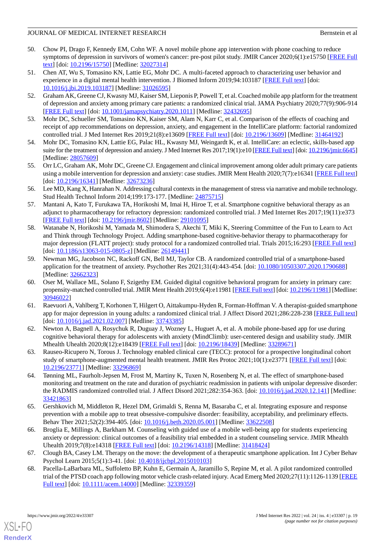- <span id="page-18-1"></span>50. Chow PI, Drago F, Kennedy EM, Cohn WF. A novel mobile phone app intervention with phone coaching to reduce symptoms of depression in survivors of women's cancer: pre-post pilot study. JMIR Cancer 2020;6(1):e15750 [[FREE Full](https://cancer.jmir.org/2020/1/e15750/) [text](https://cancer.jmir.org/2020/1/e15750/)] [doi: [10.2196/15750\]](http://dx.doi.org/10.2196/15750) [Medline: [32027314\]](http://www.ncbi.nlm.nih.gov/entrez/query.fcgi?cmd=Retrieve&db=PubMed&list_uids=32027314&dopt=Abstract)
- <span id="page-18-2"></span>51. Chen AT, Wu S, Tomasino KN, Lattie EG, Mohr DC. A multi-faceted approach to characterizing user behavior and experience in a digital mental health intervention. J Biomed Inform 2019;94:103187 [[FREE Full text\]](https://linkinghub.elsevier.com/retrieve/pii/S1532-0464(19)30105-4) [doi: [10.1016/j.jbi.2019.103187\]](http://dx.doi.org/10.1016/j.jbi.2019.103187) [Medline: [31026595](http://www.ncbi.nlm.nih.gov/entrez/query.fcgi?cmd=Retrieve&db=PubMed&list_uids=31026595&dopt=Abstract)]
- <span id="page-18-3"></span>52. Graham AK, Greene CJ, Kwasny MJ, Kaiser SM, Lieponis P, Powell T, et al. Coached mobile app platform for the treatment of depression and anxiety among primary care patients: a randomized clinical trial. JAMA Psychiatry 2020;77(9):906-914 [[FREE Full text](http://europepmc.org/abstract/MED/32432695)] [doi: [10.1001/jamapsychiatry.2020.1011](http://dx.doi.org/10.1001/jamapsychiatry.2020.1011)] [Medline: [32432695\]](http://www.ncbi.nlm.nih.gov/entrez/query.fcgi?cmd=Retrieve&db=PubMed&list_uids=32432695&dopt=Abstract)
- <span id="page-18-4"></span><span id="page-18-0"></span>53. Mohr DC, Schueller SM, Tomasino KN, Kaiser SM, Alam N, Karr C, et al. Comparison of the effects of coaching and receipt of app recommendations on depression, anxiety, and engagement in the IntelliCare platform: factorial randomized controlled trial. J Med Internet Res 2019;21(8):e13609 [[FREE Full text\]](https://www.jmir.org/2019/8/e13609/) [doi: [10.2196/13609](http://dx.doi.org/10.2196/13609)] [Medline: [31464192](http://www.ncbi.nlm.nih.gov/entrez/query.fcgi?cmd=Retrieve&db=PubMed&list_uids=31464192&dopt=Abstract)]
- <span id="page-18-5"></span>54. Mohr DC, Tomasino KN, Lattie EG, Palac HL, Kwasny MJ, Weingardt K, et al. IntelliCare: an eclectic, skills-based app suite for the treatment of depression and anxiety. J Med Internet Res 2017;19(1):e10 [\[FREE Full text](https://www.jmir.org/2017/1/e10/)] [doi: [10.2196/jmir.6645\]](http://dx.doi.org/10.2196/jmir.6645) [Medline: [28057609](http://www.ncbi.nlm.nih.gov/entrez/query.fcgi?cmd=Retrieve&db=PubMed&list_uids=28057609&dopt=Abstract)]
- <span id="page-18-6"></span>55. Orr LC, Graham AK, Mohr DC, Greene CJ. Engagement and clinical improvement among older adult primary care patients using a mobile intervention for depression and anxiety: case studies. JMIR Ment Health 2020;7(7):e16341 [\[FREE Full text](https://mental.jmir.org/2020/7/e16341/)] [doi: [10.2196/16341](http://dx.doi.org/10.2196/16341)] [Medline: [32673236\]](http://www.ncbi.nlm.nih.gov/entrez/query.fcgi?cmd=Retrieve&db=PubMed&list_uids=32673236&dopt=Abstract)
- <span id="page-18-7"></span>56. Lee MD, Kang X, Hanrahan N. Addressing cultural contexts in the management of stress via narrative and mobile technology. Stud Health Technol Inform 2014;199:173-177. [Medline: [24875715](http://www.ncbi.nlm.nih.gov/entrez/query.fcgi?cmd=Retrieve&db=PubMed&list_uids=24875715&dopt=Abstract)]
- <span id="page-18-8"></span>57. Mantani A, Kato T, Furukawa TA, Horikoshi M, Imai H, Hiroe T, et al. Smartphone cognitive behavioral therapy as an adjunct to pharmacotherapy for refractory depression: randomized controlled trial. J Med Internet Res 2017;19(11):e373 [[FREE Full text](https://www.jmir.org/2017/11/e373/)] [doi: [10.2196/jmir.8602](http://dx.doi.org/10.2196/jmir.8602)] [Medline: [29101095](http://www.ncbi.nlm.nih.gov/entrez/query.fcgi?cmd=Retrieve&db=PubMed&list_uids=29101095&dopt=Abstract)]
- <span id="page-18-9"></span>58. Watanabe N, Horikoshi M, Yamada M, Shimodera S, Akechi T, Miki K, Steering Committee of the Fun to Learn to Act and Think through Technology Project. Adding smartphone-based cognitive-behavior therapy to pharmacotherapy for major depression (FLATT project): study protocol for a randomized controlled trial. Trials 2015;16:293 [[FREE Full text](https://trialsjournal.biomedcentral.com/articles/10.1186/s13063-015-0805-z)] [doi: [10.1186/s13063-015-0805-z\]](http://dx.doi.org/10.1186/s13063-015-0805-z) [Medline: [26149441](http://www.ncbi.nlm.nih.gov/entrez/query.fcgi?cmd=Retrieve&db=PubMed&list_uids=26149441&dopt=Abstract)]
- <span id="page-18-10"></span>59. Newman MG, Jacobson NC, Rackoff GN, Bell MJ, Taylor CB. A randomized controlled trial of a smartphone-based application for the treatment of anxiety. Psychother Res 2021;31(4):443-454. [doi: [10.1080/10503307.2020.1790688\]](http://dx.doi.org/10.1080/10503307.2020.1790688) [Medline: [32662323](http://www.ncbi.nlm.nih.gov/entrez/query.fcgi?cmd=Retrieve&db=PubMed&list_uids=32662323&dopt=Abstract)]
- <span id="page-18-11"></span>60. Oser M, Wallace ML, Solano F, Szigethy EM. Guided digital cognitive behavioral program for anxiety in primary care: propensity-matched controlled trial. JMIR Ment Health 2019;6(4):e11981 [\[FREE Full text](https://mental.jmir.org/2019/4/e11981/)] [doi: [10.2196/11981](http://dx.doi.org/10.2196/11981)] [Medline: [30946022](http://www.ncbi.nlm.nih.gov/entrez/query.fcgi?cmd=Retrieve&db=PubMed&list_uids=30946022&dopt=Abstract)]
- <span id="page-18-13"></span><span id="page-18-12"></span>61. Raevuori A, Vahlberg T, Korhonen T, Hilgert O, Aittakumpu-Hyden R, Forman-Hoffman V. A therapist-guided smartphone app for major depression in young adults: a randomized clinical trial. J Affect Disord 2021;286:228-238 [[FREE Full text](https://linkinghub.elsevier.com/retrieve/pii/S0165-0327(21)00117-8)] [doi: [10.1016/j.jad.2021.02.007](http://dx.doi.org/10.1016/j.jad.2021.02.007)] [Medline: [33743385\]](http://www.ncbi.nlm.nih.gov/entrez/query.fcgi?cmd=Retrieve&db=PubMed&list_uids=33743385&dopt=Abstract)
- <span id="page-18-14"></span>62. Newton A, Bagnell A, Rosychuk R, Duguay J, Wozney L, Huguet A, et al. A mobile phone-based app for use during cognitive behavioral therapy for adolescents with anxiety (MindClimb): user-centered design and usability study. JMIR Mhealth Uhealth 2020;8(12):e18439 [\[FREE Full text](https://mhealth.jmir.org/2020/12/e18439/)] [doi: [10.2196/18439\]](http://dx.doi.org/10.2196/18439) [Medline: [33289671\]](http://www.ncbi.nlm.nih.gov/entrez/query.fcgi?cmd=Retrieve&db=PubMed&list_uids=33289671&dopt=Abstract)
- 63. Rauseo-Ricupero N, Torous J. Technology enabled clinical care (TECC): protocol for a prospective longitudinal cohort study of smartphone-augmented mental health treatment. JMIR Res Protoc 2021;10(1):e23771 [\[FREE Full text\]](https://www.researchprotocols.org/2021/1/e23771/) [doi: [10.2196/23771\]](http://dx.doi.org/10.2196/23771) [Medline: [33296869\]](http://www.ncbi.nlm.nih.gov/entrez/query.fcgi?cmd=Retrieve&db=PubMed&list_uids=33296869&dopt=Abstract)
- <span id="page-18-16"></span><span id="page-18-15"></span>64. Tønning ML, Faurholt-Jepsen M, Frost M, Martiny K, Tuxen N, Rosenberg N, et al. The effect of smartphone-based monitoring and treatment on the rate and duration of psychiatric readmission in patients with unipolar depressive disorder: the RADMIS randomized controlled trial. J Affect Disord 2021;282:354-363. [doi: [10.1016/j.jad.2020.12.141\]](http://dx.doi.org/10.1016/j.jad.2020.12.141) [Medline: [33421863](http://www.ncbi.nlm.nih.gov/entrez/query.fcgi?cmd=Retrieve&db=PubMed&list_uids=33421863&dopt=Abstract)]
- <span id="page-18-17"></span>65. Gershkovich M, Middleton R, Hezel DM, Grimaldi S, Renna M, Basaraba C, et al. Integrating exposure and response prevention with a mobile app to treat obsessive-compulsive disorder: feasibility, acceptability, and preliminary effects. Behav Ther 2021;52(2):394-405. [doi: [10.1016/j.beth.2020.05.001\]](http://dx.doi.org/10.1016/j.beth.2020.05.001) [Medline: [33622508\]](http://www.ncbi.nlm.nih.gov/entrez/query.fcgi?cmd=Retrieve&db=PubMed&list_uids=33622508&dopt=Abstract)
- <span id="page-18-18"></span>66. Broglia E, Millings A, Barkham M. Counseling with guided use of a mobile well-being app for students experiencing anxiety or depression: clinical outcomes of a feasibility trial embedded in a student counseling service. JMIR Mhealth Uhealth 2019;7(8):e14318 [\[FREE Full text\]](https://mhealth.jmir.org/2019/8/e14318/) [doi: [10.2196/14318](http://dx.doi.org/10.2196/14318)] [Medline: [31418424\]](http://www.ncbi.nlm.nih.gov/entrez/query.fcgi?cmd=Retrieve&db=PubMed&list_uids=31418424&dopt=Abstract)
- 67. Clough BA, Casey LM. Therapy on the move: the development of a therapeutic smartphone application. Int J Cyber Behav Psychol Learn 2015;5(1):3-41. [doi: [10.4018/ijcbpl.2015010103](http://dx.doi.org/10.4018/ijcbpl.2015010103)]
- 68. Pacella-LaBarbara ML, Suffoletto BP, Kuhn E, Germain A, Jaramillo S, Repine M, et al. A pilot randomized controlled trial of the PTSD coach app following motor vehicle crash-related injury. Acad Emerg Med 2020;27(11):1126-1139 [\[FREE](https://doi.org/10.1111/acem.14000) [Full text\]](https://doi.org/10.1111/acem.14000) [doi: [10.1111/acem.14000](http://dx.doi.org/10.1111/acem.14000)] [Medline: [32339359\]](http://www.ncbi.nlm.nih.gov/entrez/query.fcgi?cmd=Retrieve&db=PubMed&list_uids=32339359&dopt=Abstract)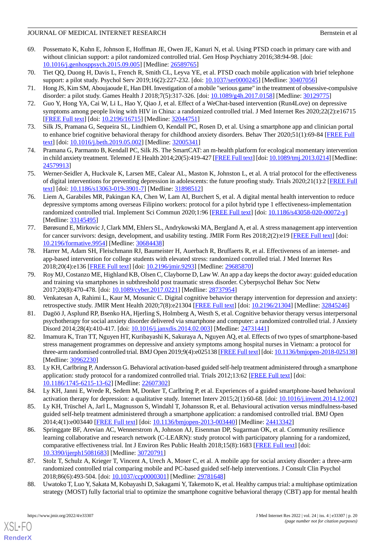- <span id="page-19-0"></span>69. Possemato K, Kuhn E, Johnson E, Hoffman JE, Owen JE, Kanuri N, et al. Using PTSD coach in primary care with and without clinician support: a pilot randomized controlled trial. Gen Hosp Psychiatry 2016;38:94-98. [doi: [10.1016/j.genhosppsych.2015.09.005](http://dx.doi.org/10.1016/j.genhosppsych.2015.09.005)] [Medline: [26589765](http://www.ncbi.nlm.nih.gov/entrez/query.fcgi?cmd=Retrieve&db=PubMed&list_uids=26589765&dopt=Abstract)]
- <span id="page-19-3"></span><span id="page-19-2"></span>70. Tiet QQ, Duong H, Davis L, French R, Smith CL, Leyva YE, et al. PTSD coach mobile application with brief telephone support: a pilot study. Psychol Serv 2019;16(2):227-232. [doi: [10.1037/ser0000245\]](http://dx.doi.org/10.1037/ser0000245) [Medline: [30407056](http://www.ncbi.nlm.nih.gov/entrez/query.fcgi?cmd=Retrieve&db=PubMed&list_uids=30407056&dopt=Abstract)]
- <span id="page-19-4"></span>71. Hong JS, Kim SM, Aboujaoude E, Han DH. Investigation of a mobile "serious game" in the treatment of obsessive-compulsive disorder: a pilot study. Games Health J 2018;7(5):317-326. [doi: [10.1089/g4h.2017.0158](http://dx.doi.org/10.1089/g4h.2017.0158)] [Medline: [30129775](http://www.ncbi.nlm.nih.gov/entrez/query.fcgi?cmd=Retrieve&db=PubMed&list_uids=30129775&dopt=Abstract)]
- <span id="page-19-5"></span>72. Guo Y, Hong YA, Cai W, Li L, Hao Y, Qiao J, et al. Effect of a WeChat-based intervention (Run4Love) on depressive symptoms among people living with HIV in China: a randomized controlled trial. J Med Internet Res 2020;22(2):e16715 [[FREE Full text](https://www.jmir.org/2020/2/e16715/)] [doi: [10.2196/16715\]](http://dx.doi.org/10.2196/16715) [Medline: [32044751\]](http://www.ncbi.nlm.nih.gov/entrez/query.fcgi?cmd=Retrieve&db=PubMed&list_uids=32044751&dopt=Abstract)
- <span id="page-19-6"></span>73. Silk JS, Pramana G, Sequeira SL, Lindhiem O, Kendall PC, Rosen D, et al. Using a smartphone app and clinician portal to enhance brief cognitive behavioral therapy for childhood anxiety disorders. Behav Ther 2020;51(1):69-84 [[FREE Full](http://europepmc.org/abstract/MED/32005341) [text](http://europepmc.org/abstract/MED/32005341)] [doi: [10.1016/j.beth.2019.05.002\]](http://dx.doi.org/10.1016/j.beth.2019.05.002) [Medline: [32005341\]](http://www.ncbi.nlm.nih.gov/entrez/query.fcgi?cmd=Retrieve&db=PubMed&list_uids=32005341&dopt=Abstract)
- <span id="page-19-7"></span>74. Pramana G, Parmanto B, Kendall PC, Silk JS. The SmartCAT: an m-health platform for ecological momentary intervention in child anxiety treatment. Telemed J E Health 2014;20(5):419-427 [\[FREE Full text\]](http://europepmc.org/abstract/MED/24579913) [doi: [10.1089/tmj.2013.0214\]](http://dx.doi.org/10.1089/tmj.2013.0214) [Medline: [24579913](http://www.ncbi.nlm.nih.gov/entrez/query.fcgi?cmd=Retrieve&db=PubMed&list_uids=24579913&dopt=Abstract)]
- <span id="page-19-8"></span>75. Werner-Seidler A, Huckvale K, Larsen ME, Calear AL, Maston K, Johnston L, et al. A trial protocol for the effectiveness of digital interventions for preventing depression in adolescents: the future proofing study. Trials 2020;21(1):2 [[FREE Full](https://trialsjournal.biomedcentral.com/articles/10.1186/s13063-019-3901-7) [text](https://trialsjournal.biomedcentral.com/articles/10.1186/s13063-019-3901-7)] [doi: [10.1186/s13063-019-3901-7\]](http://dx.doi.org/10.1186/s13063-019-3901-7) [Medline: [31898512](http://www.ncbi.nlm.nih.gov/entrez/query.fcgi?cmd=Retrieve&db=PubMed&list_uids=31898512&dopt=Abstract)]
- <span id="page-19-9"></span>76. Liem A, Garabiles MR, Pakingan KA, Chen W, Lam AI, Burchert S, et al. A digital mental health intervention to reduce depressive symptoms among overseas Filipino workers: protocol for a pilot hybrid type 1 effectiveness-implementation randomized controlled trial. Implement Sci Commun 2020;1:96 [[FREE Full text](https://implementationsciencecomms.biomedcentral.com/articles/10.1186/s43058-020-00072-y)] [doi: [10.1186/s43058-020-00072-y](http://dx.doi.org/10.1186/s43058-020-00072-y)] [Medline: [33145495](http://www.ncbi.nlm.nih.gov/entrez/query.fcgi?cmd=Retrieve&db=PubMed&list_uids=33145495&dopt=Abstract)]
- <span id="page-19-10"></span>77. Børøsund E, Mirkovic J, Clark MM, Ehlers SL, Andrykowski MA, Bergland A, et al. A stress management app intervention for cancer survivors: design, development, and usability testing. JMIR Form Res 2018;2(2):e19 [[FREE Full text\]](https://formative.jmir.org/2018/2/e19/) [doi: [10.2196/formative.9954\]](http://dx.doi.org/10.2196/formative.9954) [Medline: [30684438\]](http://www.ncbi.nlm.nih.gov/entrez/query.fcgi?cmd=Retrieve&db=PubMed&list_uids=30684438&dopt=Abstract)
- <span id="page-19-1"></span>78. Harrer M, Adam SH, Fleischmann RJ, Baumeister H, Auerbach R, Bruffaerts R, et al. Effectiveness of an internet- and app-based intervention for college students with elevated stress: randomized controlled trial. J Med Internet Res 2018;20(4):e136 [\[FREE Full text](https://www.jmir.org/2018/4/e136/)] [doi: [10.2196/jmir.9293](http://dx.doi.org/10.2196/jmir.9293)] [Medline: [29685870](http://www.ncbi.nlm.nih.gov/entrez/query.fcgi?cmd=Retrieve&db=PubMed&list_uids=29685870&dopt=Abstract)]
- <span id="page-19-12"></span><span id="page-19-11"></span>79. Roy MJ, Costanzo ME, Highland KB, Olsen C, Clayborne D, Law W. An app a day keeps the doctor away: guided education and training via smartphones in subthreshold post traumatic stress disorder. Cyberpsychol Behav Soc Netw 2017;20(8):470-478. [doi: [10.1089/cyber.2017.0221](http://dx.doi.org/10.1089/cyber.2017.0221)] [Medline: [28737954](http://www.ncbi.nlm.nih.gov/entrez/query.fcgi?cmd=Retrieve&db=PubMed&list_uids=28737954&dopt=Abstract)]
- <span id="page-19-13"></span>80. Venkatesan A, Rahimi L, Kaur M, Mosunic C. Digital cognitive behavior therapy intervention for depression and anxiety: retrospective study. JMIR Ment Health 2020;7(8):e21304 [[FREE Full text](https://mental.jmir.org/2020/8/e21304/)] [doi: [10.2196/21304\]](http://dx.doi.org/10.2196/21304) [Medline: [32845246\]](http://www.ncbi.nlm.nih.gov/entrez/query.fcgi?cmd=Retrieve&db=PubMed&list_uids=32845246&dopt=Abstract)
- 81. Dagöö J, Asplund RP, Bsenko HA, Hjerling S, Holmberg A, Westh S, et al. Cognitive behavior therapy versus interpersonal psychotherapy for social anxiety disorder delivered via smartphone and computer: a randomized controlled trial. J Anxiety Disord 2014;28(4):410-417. [doi: [10.1016/j.janxdis.2014.02.003](http://dx.doi.org/10.1016/j.janxdis.2014.02.003)] [Medline: [24731441\]](http://www.ncbi.nlm.nih.gov/entrez/query.fcgi?cmd=Retrieve&db=PubMed&list_uids=24731441&dopt=Abstract)
- <span id="page-19-14"></span>82. Imamura K, Tran TT, Nguyen HT, Kuribayashi K, Sakuraya A, Nguyen AQ, et al. Effects of two types of smartphone-based stress management programmes on depressive and anxiety symptoms among hospital nurses in Vietnam: a protocol for three-arm randomised controlled trial. BMJ Open 2019;9(4):e025138 [[FREE Full text](https://bmjopen.bmj.com/lookup/pmidlookup?view=long&pmid=30962230)] [doi: [10.1136/bmjopen-2018-025138\]](http://dx.doi.org/10.1136/bmjopen-2018-025138) [Medline: [30962230](http://www.ncbi.nlm.nih.gov/entrez/query.fcgi?cmd=Retrieve&db=PubMed&list_uids=30962230&dopt=Abstract)]
- <span id="page-19-16"></span><span id="page-19-15"></span>83. Ly KH, Carlbring P, Andersson G. Behavioral activation-based guided self-help treatment administered through a smartphone application: study protocol for a randomized controlled trial. Trials 2012;13:62 [\[FREE Full text](https://trialsjournal.biomedcentral.com/articles/10.1186/1745-6215-13-62)] [doi: [10.1186/1745-6215-13-62\]](http://dx.doi.org/10.1186/1745-6215-13-62) [Medline: [22607302\]](http://www.ncbi.nlm.nih.gov/entrez/query.fcgi?cmd=Retrieve&db=PubMed&list_uids=22607302&dopt=Abstract)
- <span id="page-19-17"></span>84. Ly KH, Janni E, Wrede R, Sedem M, Donker T, Carlbring P, et al. Experiences of a guided smartphone-based behavioral activation therapy for depression: a qualitative study. Internet Interv 2015;2(1):60-68. [doi: [10.1016/j.invent.2014.12.002](http://dx.doi.org/10.1016/j.invent.2014.12.002)]
- <span id="page-19-18"></span>85. Ly KH, Trüschel A, Jarl L, Magnusson S, Windahl T, Johansson R, et al. Behavioural activation versus mindfulness-based guided self-help treatment administered through a smartphone application: a randomised controlled trial. BMJ Open 2014;4(1):e003440 [\[FREE Full text](https://bmjopen.bmj.com/lookup/pmidlookup?view=long&pmid=24413342)] [doi: [10.1136/bmjopen-2013-003440\]](http://dx.doi.org/10.1136/bmjopen-2013-003440) [Medline: [24413342](http://www.ncbi.nlm.nih.gov/entrez/query.fcgi?cmd=Retrieve&db=PubMed&list_uids=24413342&dopt=Abstract)]
- <span id="page-19-19"></span>86. Springgate BF, Arevian AC, Wennerstrom A, Johnson AJ, Eisenman DP, Sugarman OK, et al. Community resilience learning collaborative and research network (C-LEARN): study protocol with participatory planning for a randomized, comparative effectiveness trial. Int J Environ Res Public Health 2018;15(8):1683 [\[FREE Full text\]](https://www.mdpi.com/resolver?pii=ijerph15081683) [doi: [10.3390/ijerph15081683](http://dx.doi.org/10.3390/ijerph15081683)] [Medline: [30720791\]](http://www.ncbi.nlm.nih.gov/entrez/query.fcgi?cmd=Retrieve&db=PubMed&list_uids=30720791&dopt=Abstract)
- 87. Stolz T, Schulz A, Krieger T, Vincent A, Urech A, Moser C, et al. A mobile app for social anxiety disorder: a three-arm randomized controlled trial comparing mobile and PC-based guided self-help interventions. J Consult Clin Psychol 2018;86(6):493-504. [doi: [10.1037/ccp0000301\]](http://dx.doi.org/10.1037/ccp0000301) [Medline: [29781648](http://www.ncbi.nlm.nih.gov/entrez/query.fcgi?cmd=Retrieve&db=PubMed&list_uids=29781648&dopt=Abstract)]
- 88. Uwatoko T, Luo Y, Sakata M, Kobayashi D, Sakagami Y, Takemoto K, et al. Healthy campus trial: a multiphase optimization strategy (MOST) fully factorial trial to optimize the smartphone cognitive behavioral therapy (CBT) app for mental health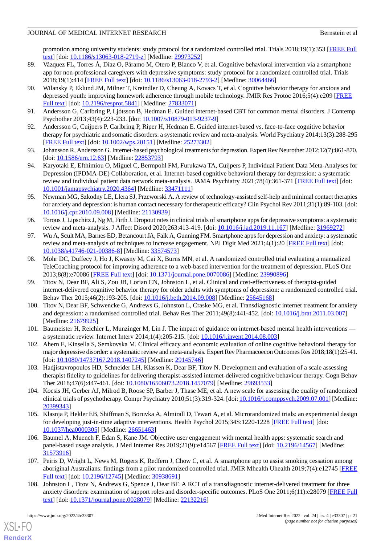promotion among university students: study protocol for a randomized controlled trial. Trials 2018;19(1):353 [\[FREE Full](https://trialsjournal.biomedcentral.com/articles/10.1186/s13063-018-2719-z) [text](https://trialsjournal.biomedcentral.com/articles/10.1186/s13063-018-2719-z)] [doi: [10.1186/s13063-018-2719-z](http://dx.doi.org/10.1186/s13063-018-2719-z)] [Medline: [29973252\]](http://www.ncbi.nlm.nih.gov/entrez/query.fcgi?cmd=Retrieve&db=PubMed&list_uids=29973252&dopt=Abstract)

- <span id="page-20-0"></span>89. Vázquez FL, Torres Á, Díaz O, Páramo M, Otero P, Blanco V, et al. Cognitive behavioral intervention via a smartphone app for non-professional caregivers with depressive symptoms: study protocol for a randomized controlled trial. Trials 2018;19(1):414 [[FREE Full text\]](https://trialsjournal.biomedcentral.com/articles/10.1186/s13063-018-2793-2) [doi: [10.1186/s13063-018-2793-2](http://dx.doi.org/10.1186/s13063-018-2793-2)] [Medline: [30064466](http://www.ncbi.nlm.nih.gov/entrez/query.fcgi?cmd=Retrieve&db=PubMed&list_uids=30064466&dopt=Abstract)]
- <span id="page-20-1"></span>90. Wilansky P, Eklund JM, Milner T, Kreindler D, Cheung A, Kovacs T, et al. Cognitive behavior therapy for anxious and depressed youth: improving homework adherence through mobile technology. JMIR Res Protoc 2016;5(4):e209 [\[FREE](https://www.researchprotocols.org/2016/4/e209/) [Full text\]](https://www.researchprotocols.org/2016/4/e209/) [doi: [10.2196/resprot.5841\]](http://dx.doi.org/10.2196/resprot.5841) [Medline: [27833071](http://www.ncbi.nlm.nih.gov/entrez/query.fcgi?cmd=Retrieve&db=PubMed&list_uids=27833071&dopt=Abstract)]
- <span id="page-20-2"></span>91. Andersson G, Carlbring P, Ljótsson B, Hedman E. Guided internet-based CBT for common mental disorders. J Contemp Psychother 2013;43(4):223-233. [doi: [10.1007/s10879-013-9237-9\]](http://dx.doi.org/10.1007/s10879-013-9237-9)
- 92. Andersson G, Cuijpers P, Carlbring P, Riper H, Hedman E. Guided internet-based vs. face-to-face cognitive behavior therapy for psychiatric and somatic disorders: a systematic review and meta-analysis. World Psychiatry 2014;13(3):288-295 [[FREE Full text](https://doi.org/10.1002/wps.20151)] [doi: [10.1002/wps.20151](http://dx.doi.org/10.1002/wps.20151)] [Medline: [25273302](http://www.ncbi.nlm.nih.gov/entrez/query.fcgi?cmd=Retrieve&db=PubMed&list_uids=25273302&dopt=Abstract)]
- <span id="page-20-15"></span>93. Johansson R, Andersson G. Internet-based psychological treatments for depression. Expert Rev Neurother 2012;12(7):861-870. [doi: [10.1586/ern.12.63\]](http://dx.doi.org/10.1586/ern.12.63) [Medline: [22853793\]](http://www.ncbi.nlm.nih.gov/entrez/query.fcgi?cmd=Retrieve&db=PubMed&list_uids=22853793&dopt=Abstract)
- <span id="page-20-3"></span>94. Karyotaki E, Efthimiou O, Miguel C, Bermpohl FM, Furukawa TA, Cuijpers P, Individual Patient Data Meta-Analyses for Depression (IPDMA-DE) Collaboration, et al. Internet-based cognitive behavioral therapy for depression: a systematic review and individual patient data network meta-analysis. JAMA Psychiatry 2021;78(4):361-371 [[FREE Full text](http://europepmc.org/abstract/MED/33471111)] [doi: [10.1001/jamapsychiatry.2020.4364](http://dx.doi.org/10.1001/jamapsychiatry.2020.4364)] [Medline: [33471111](http://www.ncbi.nlm.nih.gov/entrez/query.fcgi?cmd=Retrieve&db=PubMed&list_uids=33471111&dopt=Abstract)]
- <span id="page-20-4"></span>95. Newman MG, Szkodny LE, Llera SJ, Przeworski A. A review of technology-assisted self-help and minimal contact therapies for anxiety and depression: is human contact necessary for therapeutic efficacy? Clin Psychol Rev 2011;31(1):89-103. [doi: [10.1016/j.cpr.2010.09.008\]](http://dx.doi.org/10.1016/j.cpr.2010.09.008) [Medline: [21130939\]](http://www.ncbi.nlm.nih.gov/entrez/query.fcgi?cmd=Retrieve&db=PubMed&list_uids=21130939&dopt=Abstract)
- <span id="page-20-5"></span>96. Torous J, Lipschitz J, Ng M, Firth J. Dropout rates in clinical trials of smartphone apps for depressive symptoms: a systematic review and meta-analysis. J Affect Disord 2020;263:413-419. [doi: [10.1016/j.jad.2019.11.167](http://dx.doi.org/10.1016/j.jad.2019.11.167)] [Medline: [31969272\]](http://www.ncbi.nlm.nih.gov/entrez/query.fcgi?cmd=Retrieve&db=PubMed&list_uids=31969272&dopt=Abstract)
- <span id="page-20-6"></span>97. Wu A, Scult MA, Barnes ED, Betancourt JA, Falk A, Gunning FM. Smartphone apps for depression and anxiety: a systematic review and meta-analysis of techniques to increase engagement. NPJ Digit Med 2021;4(1):20 [\[FREE Full text\]](https://doi.org/10.1038/s41746-021-00386-8) [doi: [10.1038/s41746-021-00386-8\]](http://dx.doi.org/10.1038/s41746-021-00386-8) [Medline: [33574573\]](http://www.ncbi.nlm.nih.gov/entrez/query.fcgi?cmd=Retrieve&db=PubMed&list_uids=33574573&dopt=Abstract)
- <span id="page-20-7"></span>98. Mohr DC, Duffecy J, Ho J, Kwasny M, Cai X, Burns MN, et al. A randomized controlled trial evaluating a manualized TeleCoaching protocol for improving adherence to a web-based intervention for the treatment of depression. PLoS One 2013;8(8):e70086 [\[FREE Full text](https://dx.plos.org/10.1371/journal.pone.0070086)] [doi: [10.1371/journal.pone.0070086\]](http://dx.doi.org/10.1371/journal.pone.0070086) [Medline: [23990896](http://www.ncbi.nlm.nih.gov/entrez/query.fcgi?cmd=Retrieve&db=PubMed&list_uids=23990896&dopt=Abstract)]
- <span id="page-20-8"></span>99. Titov N, Dear BF, Ali S, Zou JB, Lorian CN, Johnston L, et al. Clinical and cost-effectiveness of therapist-guided internet-delivered cognitive behavior therapy for older adults with symptoms of depression: a randomized controlled trial. Behav Ther 2015;46(2):193-205. [doi: [10.1016/j.beth.2014.09.008\]](http://dx.doi.org/10.1016/j.beth.2014.09.008) [Medline: [25645168\]](http://www.ncbi.nlm.nih.gov/entrez/query.fcgi?cmd=Retrieve&db=PubMed&list_uids=25645168&dopt=Abstract)
- <span id="page-20-10"></span><span id="page-20-9"></span>100. Titov N, Dear BF, Schwencke G, Andrews G, Johnston L, Craske MG, et al. Transdiagnostic internet treatment for anxiety and depression: a randomised controlled trial. Behav Res Ther 2011;49(8):441-452. [doi: [10.1016/j.brat.2011.03.007](http://dx.doi.org/10.1016/j.brat.2011.03.007)] [Medline: [21679925](http://www.ncbi.nlm.nih.gov/entrez/query.fcgi?cmd=Retrieve&db=PubMed&list_uids=21679925&dopt=Abstract)]
- <span id="page-20-11"></span>101. Baumeister H, Reichler L, Munzinger M, Lin J. The impact of guidance on internet-based mental health interventions a systematic review. Internet Interv 2014;1(4):205-215. [doi: [10.1016/j.invent.2014.08.003\]](http://dx.doi.org/10.1016/j.invent.2014.08.003)
- <span id="page-20-12"></span>102. Ahern E, Kinsella S, Semkovska M. Clinical efficacy and economic evaluation of online cognitive behavioral therapy for major depressive disorder: a systematic review and meta-analysis. Expert Rev Pharmacoecon Outcomes Res 2018;18(1):25-41. [doi: [10.1080/14737167.2018.1407245](http://dx.doi.org/10.1080/14737167.2018.1407245)] [Medline: [29145746\]](http://www.ncbi.nlm.nih.gov/entrez/query.fcgi?cmd=Retrieve&db=PubMed&list_uids=29145746&dopt=Abstract)
- <span id="page-20-13"></span>103. Hadjistavropoulos HD, Schneider LH, Klassen K, Dear BF, Titov N. Development and evaluation of a scale assessing therapist fidelity to guidelines for delivering therapist-assisted internet-delivered cognitive behaviour therapy. Cogn Behav Ther 2018;47(6):447-461. [doi: [10.1080/16506073.2018.1457079](http://dx.doi.org/10.1080/16506073.2018.1457079)] [Medline: [29693533\]](http://www.ncbi.nlm.nih.gov/entrez/query.fcgi?cmd=Retrieve&db=PubMed&list_uids=29693533&dopt=Abstract)
- <span id="page-20-14"></span>104. Kocsis JH, Gerber AJ, Milrod B, Roose SP, Barber J, Thase ME, et al. A new scale for assessing the quality of randomized clinical trials of psychotherapy. Compr Psychiatry 2010;51(3):319-324. [doi: [10.1016/j.comppsych.2009.07.001](http://dx.doi.org/10.1016/j.comppsych.2009.07.001)] [Medline: [20399343](http://www.ncbi.nlm.nih.gov/entrez/query.fcgi?cmd=Retrieve&db=PubMed&list_uids=20399343&dopt=Abstract)]
- <span id="page-20-16"></span>105. Klasnja P, Hekler EB, Shiffman S, Boruvka A, Almirall D, Tewari A, et al. Microrandomized trials: an experimental design for developing just-in-time adaptive interventions. Health Psychol 2015;34S:1220-1228 [\[FREE Full text\]](http://europepmc.org/abstract/MED/26651463) [doi: [10.1037/hea0000305\]](http://dx.doi.org/10.1037/hea0000305) [Medline: [26651463](http://www.ncbi.nlm.nih.gov/entrez/query.fcgi?cmd=Retrieve&db=PubMed&list_uids=26651463&dopt=Abstract)]
- <span id="page-20-17"></span>106. Baumel A, Muench F, Edan S, Kane JM. Objective user engagement with mental health apps: systematic search and panel-based usage analysis. J Med Internet Res 2019;21(9):e14567 [\[FREE Full text](https://www.jmir.org/2019/9/e14567/)] [doi: [10.2196/14567](http://dx.doi.org/10.2196/14567)] [Medline: [31573916](http://www.ncbi.nlm.nih.gov/entrez/query.fcgi?cmd=Retrieve&db=PubMed&list_uids=31573916&dopt=Abstract)]
- 107. Peiris D, Wright L, News M, Rogers K, Redfern J, Chow C, et al. A smartphone app to assist smoking cessation among aboriginal Australians: findings from a pilot randomized controlled trial. JMIR Mhealth Uhealth 2019;7(4):e12745 [\[FREE](https://mhealth.jmir.org/2019/4/e12745/) [Full text\]](https://mhealth.jmir.org/2019/4/e12745/) [doi: [10.2196/12745\]](http://dx.doi.org/10.2196/12745) [Medline: [30938691](http://www.ncbi.nlm.nih.gov/entrez/query.fcgi?cmd=Retrieve&db=PubMed&list_uids=30938691&dopt=Abstract)]
- 108. Johnston L, Titov N, Andrews G, Spence J, Dear BF. A RCT of a transdiagnostic internet-delivered treatment for three anxiety disorders: examination of support roles and disorder-specific outcomes. PLoS One 2011;6(11):e28079 [[FREE Full](https://dx.plos.org/10.1371/journal.pone.0028079) [text](https://dx.plos.org/10.1371/journal.pone.0028079)] [doi: [10.1371/journal.pone.0028079\]](http://dx.doi.org/10.1371/journal.pone.0028079) [Medline: [22132216](http://www.ncbi.nlm.nih.gov/entrez/query.fcgi?cmd=Retrieve&db=PubMed&list_uids=22132216&dopt=Abstract)]